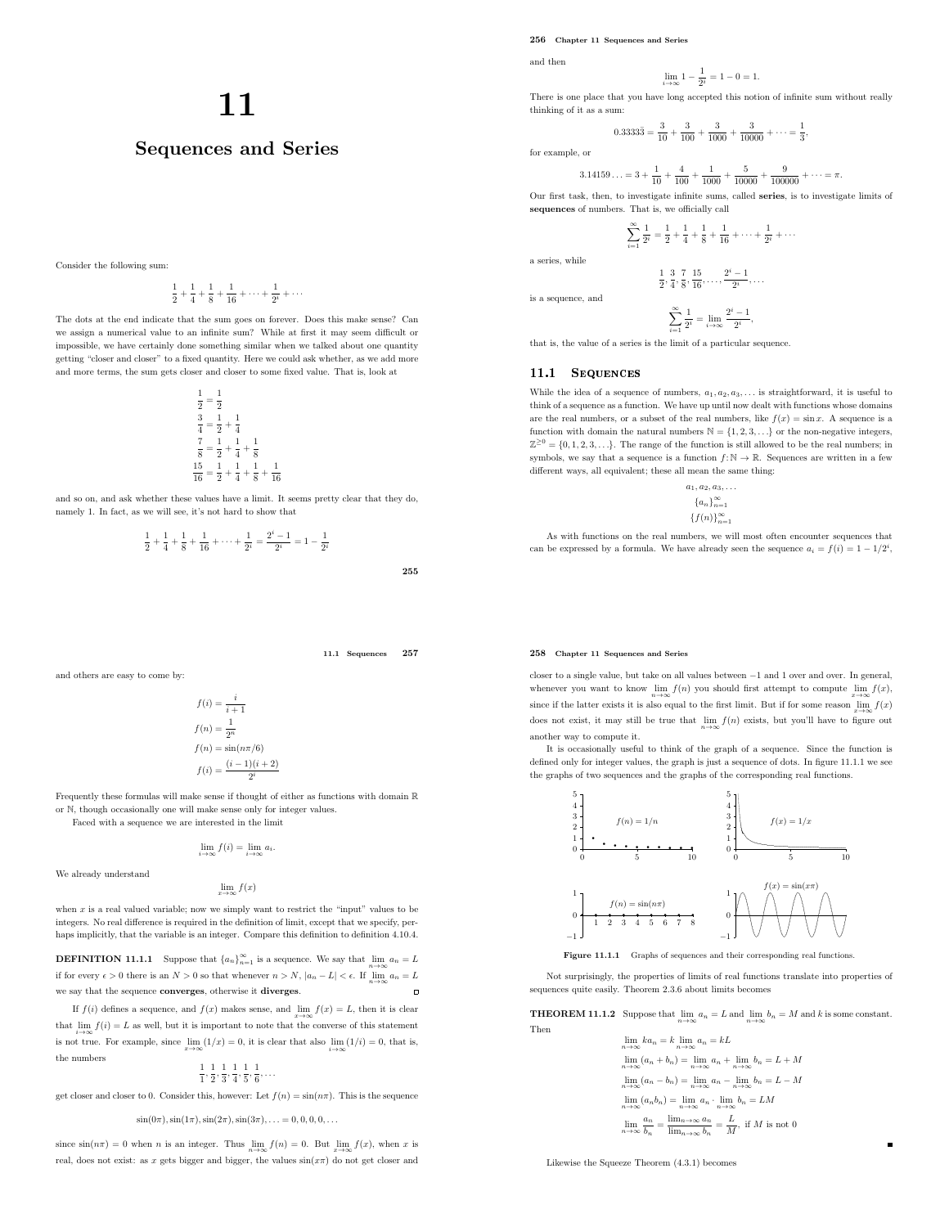256 Chapter 11 Sequences and Series

and then

$$
\lim_{i \to \infty} 1 - \frac{1}{2^i} = 1 - 0 = 1.
$$

# There is one place that you have long accepted this notion of infinite sum without really thinking of it as a sum:

$$
0.3333\overline{3} = \frac{3}{10} + \frac{3}{100} + \frac{3}{1000} + \frac{3}{10000} + \dots = \frac{1}{3},
$$

for example, or

3.14

$$
1159\ldots = 3 + \frac{1}{10} + \frac{4}{100} + \frac{1}{1000} + \frac{5}{10000} + \frac{9}{100000} + \cdots = \pi.
$$

Our first task, then, to investigate infinite sums, called series, is to investigate limits of sequences of numbers. That is, we officially call

> $\sum_{n=1}^{\infty}$  $i=1$  $\frac{1}{2^{i}} = \frac{1}{2}$  $\frac{1}{2} + \frac{1}{4}$  $\frac{1}{4} + \frac{1}{8}$  $\frac{1}{8} + \frac{1}{16}$  $\frac{1}{16} + \cdots + \frac{1}{2^n}$  $\frac{1}{2^i} + \cdots$

a series, while

$$
\frac{1}{2}, \frac{3}{4}, \frac{7}{8}, \frac{15}{16}, \ldots, \frac{2^{i}-1}{2^{i}}, \ldots
$$

is a sequence, and

$$
\sum_{i=1}^{\infty} \frac{1}{2^i} = \lim_{i \to \infty} \frac{2^i - 1}{2^i},
$$

that is, the value of a series is the limit of a particular sequence.

# 11.1 SEQUENCES

While the idea of a sequence of numbers,  $a_1, a_2, a_3, \ldots$  is straightforward, it is useful to think of a sequence as a function. We have up until now dealt with functions whose domains are the real numbers, or a subset of the real numbers, like  $f(x) = \sin x$ . A sequence is a function with domain the natural numbers  $\mathbb{N} = \{1, 2, 3, \ldots\}$  or the non-negative integers,  $\mathbb{Z}^{\geq 0} = \{0, 1, 2, 3, \ldots\}$ . The range of the function is still allowed to be the real numbers; in symbols, we say that a sequence is a function  $f: \mathbb{N} \to \mathbb{R}$ . Sequences are written in a few different ways, all equivalent; these all mean the same thing:

> $a_1, a_2, a_3, \ldots$  ${a_n}_{n=1}^{\infty}$  ${f(n)}_{n=1}^{\infty}$

As with functions on the real numbers, we will most often encounter sequences that can be expressed by a formula. We have already seen the sequence  $a_i = f(i) = 1 - 1/2^i$ ,

# 258 Chapter 11 Sequences and Series

closer to a single value, but take on all values between −1 and 1 over and over. In general, whenever you want to know  $\lim_{n\to\infty} f(n)$  you should first attempt to compute  $\lim_{x\to\infty} f(x)$ , since if the latter exists it is also equal to the first limit. But if for some reason  $\lim_{x\to\infty} f(x)$ does not exist, it may still be true that  $\lim_{n\to\infty} f(n)$  exists, but you'll have to figure out another way to compute it.

It is occasionally useful to think of the graph of a sequence. Since the function is defined only for integer values, the graph is just a sequence of dots. In figure 11.1.1 we see the graphs of two sequences and the graphs of the corresponding real functions.



Figure 11.1.1 Graphs of sequences and their corresponding real functions.

Not surprisingly, the properties of limits of real functions translate into properties of sequences quite easily. Theorem 2.3.6 about limits becomes

**THEOREM 11.1.2** Suppose that  $\lim_{n\to\infty} a_n = L$  and  $\lim_{n\to\infty} b_n = M$  and k is some constant. Then

$$
\lim_{n \to \infty} ka_n = k \lim_{n \to \infty} a_n = kL
$$
  
\n
$$
\lim_{n \to \infty} (a_n + b_n) = \lim_{n \to \infty} a_n + \lim_{n \to \infty} b_n = L + M
$$
  
\n
$$
\lim_{n \to \infty} (a_n - b_n) = \lim_{n \to \infty} a_n - \lim_{n \to \infty} b_n = L - M
$$
  
\n
$$
\lim_{n \to \infty} (a_n b_n) = \lim_{n \to \infty} a_n \cdot \lim_{n \to \infty} b_n = LM
$$
  
\n
$$
\lim_{n \to \infty} \frac{a_n}{b_n} = \frac{\lim_{n \to \infty} a_n}{\lim_{n \to \infty} b_n} = \frac{L}{M}, \text{ if } M \text{ is not } 0
$$

 $\blacksquare$ 

Likewise the Squeeze Theorem (4.3.1) becomes

# 11

# Sequences and Series

Consider the following sum:

$$
\frac{1}{2} + \frac{1}{4} + \frac{1}{8} + \frac{1}{16} + \dots + \frac{1}{2^i} + \dots
$$

The dots at the end indicate that the sum goes on forever. Does this make sense? Can we assign a numerical value to an infinite sum? While at first it may seem difficult or impossible, we have certainly done something similar when we talked about one quantity getting "closer and closer" to a fixed quantity. Here we could ask whether, as we add more and more terms, the sum gets closer and closer to some fixed value. That is, look at

$$
\begin{aligned}\n\frac{1}{2} &= \frac{1}{2} \\
\frac{3}{4} &= \frac{1}{2} + \frac{1}{4} \\
\frac{7}{8} &= \frac{1}{2} + \frac{1}{4} + \frac{1}{8} \\
\frac{15}{16} &= \frac{1}{2} + \frac{1}{4} + \frac{1}{8} + \frac{1}{16}\n\end{aligned}
$$

and so on, and ask whether these values have a limit. It seems pretty clear that they do, namely 1. In fact, as we will see, it's not hard to show that

$$
\frac{1}{2} + \frac{1}{4} + \frac{1}{8} + \frac{1}{16} + \dots + \frac{1}{2^{i}} = \frac{2^{i} - 1}{2^{i}} = 1 - \frac{1}{2^{i}}
$$

11.1 Sequences 257

255

and others are easy to come by:

$$
f(i) = \frac{i}{i+1}
$$

$$
f(n) = \frac{1}{2^n}
$$

$$
f(n) = \sin(n\pi/6)
$$

$$
f(i) = \frac{(i-1)(i+2)}{2^i}
$$

Frequently these formulas will make sense if thought of either as functions with domain R or N, though occasionally one will make sense only for integer values.

Faced with a sequence we are interested in the limit

$$
\lim_{i \to \infty} f(i) = \lim_{i \to \infty} a_i.
$$

We already understand

$$
\lim_{x \to \infty} f(x)
$$

when  $x$  is a real valued variable; now we simply want to restrict the "input" values to be integers. No real difference is required in the definition of limit, except that we specify, perhaps implicitly, that the variable is an integer. Compare this definition to definition 4.10.4.

**DEFINITION 11.1.1** Suppose that  ${a_n}_{n=1}^{\infty}$  is a sequence. We say that  $\lim_{n\to\infty} a_n = L$ if for every  $\epsilon > 0$  there is an  $N > 0$  so that whenever  $n > N$ ,  $|a_n - L| < \epsilon$ . If  $\lim_{n \to \infty} a_n = L$ we say that the sequence converges, otherwise it diverges.  $\overline{a}$ 

If  $f(i)$  defines a sequence, and  $f(x)$  makes sense, and  $\lim_{x\to\infty} f(x) = L$ , then it is clear that  $\lim_{i \to \infty} f(i) = L$  as well, but it is important to note that the converse of this statement is not true. For example, since  $\lim_{x\to\infty}(1/x) = 0$ , it is clear that also  $\lim_{i\to\infty}(1/i) = 0$ , that is, the numbers

$$
\frac{1}{1}, \frac{1}{2}, \frac{1}{3}, \frac{1}{4}, \frac{1}{5}, \frac{1}{6}, \dots
$$

get closer and closer to 0. Consider this, however: Let  $f(n) = \sin(n\pi)$ . This is the sequence

 $\sin(0\pi), \sin(1\pi), \sin(2\pi), \sin(3\pi), \ldots = 0, 0, 0, 0, \ldots$ 

since  $\sin(n\pi) = 0$  when *n* is an integer. Thus  $\lim_{n \to \infty} f(n) = 0$ . But  $\lim_{x \to \infty} f(x)$ , when *x* is real, does not exist: as x gets bigger and bigger, the values  $sin(x\pi)$  do not get closer and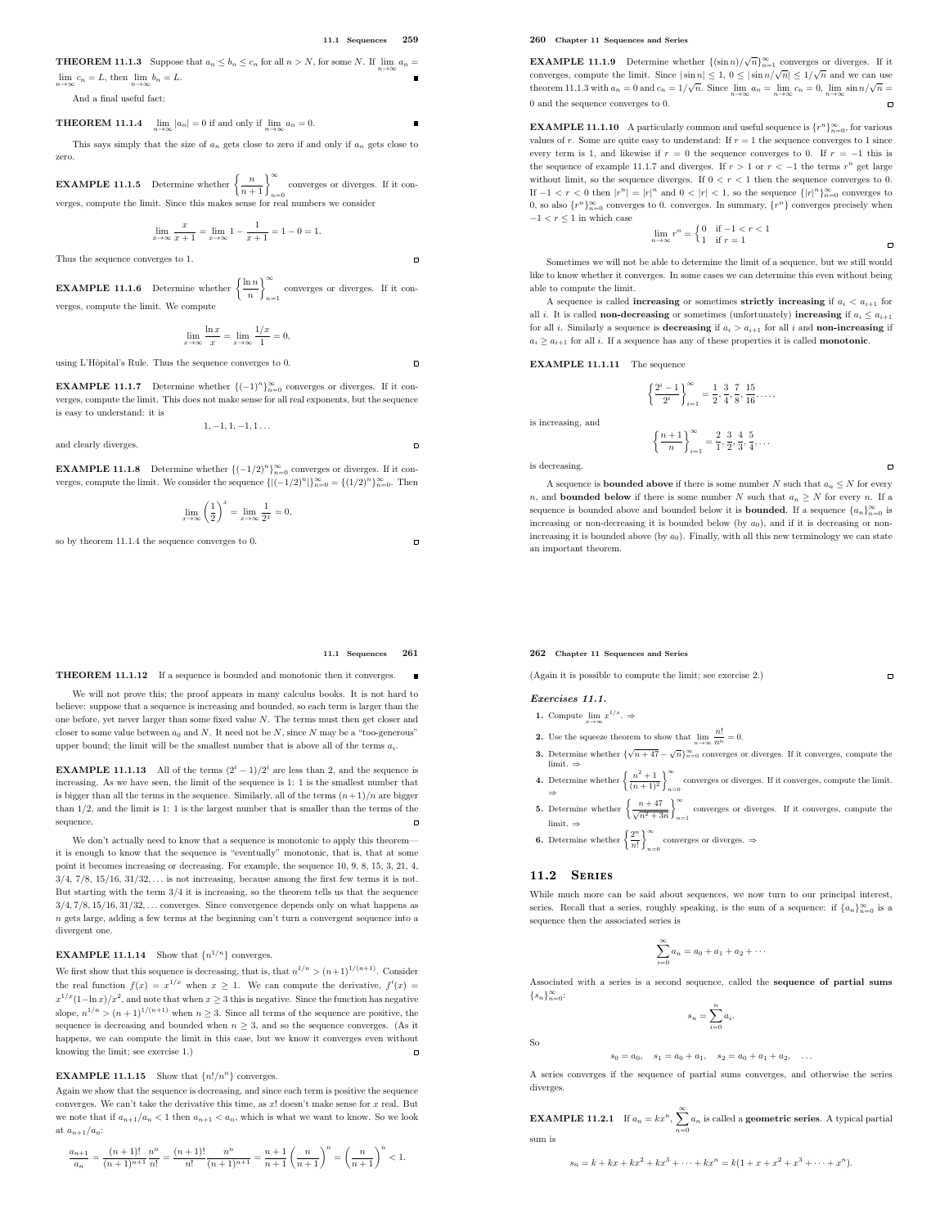$\Box$ 

 $\overline{a}$ 

 $\Box$ 

 $\Box$ 

**THEOREM 11.1.3** Suppose that  $a_n \leq b_n \leq c_n$  for all  $n > N$ , for some N. If  $\lim_{n \to \infty} a_n =$  $\lim_{n \to \infty} c_n = L$ , then  $\lim_{n \to \infty} b_n = L$ .

And a final useful fact:

**THEOREM 11.1.4**  $\lim_{n \to \infty} |a_n| = 0$  if and only if  $\lim_{n \to \infty} a_n = 0$ .

This says simply that the size of  $a_n$  gets close to zero if and only if  $a_n$  gets close to zero.

**EXAMPLE 11.1.5** Determine whether  $\left\{\frac{n}{n+1}\right\}_{n=0}^{\infty}$  converges or diverges. If it converges, compute the limit. Since this makes sense for real numbers we consider

$$
\lim_{x \to \infty} \frac{x}{x+1} = \lim_{x \to \infty} 1 - \frac{1}{x+1} = 1 - 0 = 1.
$$

Thus the sequence converges to 1.

**EXAMPLE 11.1.6** Determine whether  $\left\{\frac{\ln n}{n}\right\}$ n <sup>∞</sup> converges or diverges. If it con-<br> $\real^{n=1}$ verges, compute the limit. We compute

$$
\lim_{x \to \infty} \frac{\ln x}{x} = \lim_{x \to \infty} \frac{1/x}{1} = 0,
$$

using L'Hôpital's Rule. Thus the sequence converges to  $0.$ 

**EXAMPLE 11.1.7** Determine whether  $\{(-1)^n\}_{n=0}^{\infty}$  converges or diverges. If it converges, compute the limit. This does not make sense for all real exponents, but the sequence is easy to understand: it is

$$
1,-1,1,-1,1\ldots
$$

and clearly diverges

**EXAMPLE 11.1.8** Determine whether  $\{(-1/2)^n\}_{n=0}^{\infty}$  converges or diverges. If it converges, compute the limit. We consider the sequence  $\{ |(-1/2)^n| \}_{n=0}^{\infty} = \{ (1/2)^n \}_{n=0}^{\infty}$ . Then

$$
\lim_{x \to \infty} \left(\frac{1}{2}\right)^x = \lim_{x \to \infty} \frac{1}{2^x} = 0,
$$

so by theorem 11.1.4 the sequence converges to 0.

### 11.1 Sequences 261

THEOREM 11.1.12 If a sequence is bounded and monotonic then it converges.

We will not prove this; the proof appears in many calculus books. It is not hard to believe: suppose that a sequence is increasing and bounded, so each term is larger than the one before, yet never larger than some fixed value N. The terms must then get closer and closer to some value between  $a_0$  and N. It need not be N, since N may be a "too-generous" upper bound; the limit will be the smallest number that is above all of the terms  $a_i$ .

**EXAMPLE 11.1.13** All of the terms  $(2^{i} - 1)/2^{i}$  are less than 2, and the sequence is increasing. As we have seen, the limit of the sequence is 1: 1 is the smallest number that is bigger than all the terms in the sequence. Similarly, all of the terms  $(n+1)/n$  are bigger than 1/2, and the limit is 1: 1 is the largest number that is smaller than the terms of the sequence.

We don't actually need to know that a sequence is monotonic to apply this theorem it is enough to know that the sequence is "eventually" monotonic, that is, that at some point it becomes increasing or decreasing. For example, the sequence 10, 9, 8, 15, 3, 21, 4,  $3/4$ ,  $7/8$ ,  $15/16$ ,  $31/32$ ,  $\ldots$  is not increasing, because among the first few terms it is not. But starting with the term 3/4 it is increasing, so the theorem tells us that the sequence  $3/4, 7/8, 15/16, 31/32, \ldots$  converges. Since convergence depends only on what happens as n gets large, adding a few terms at the beginning can't turn a convergent sequence into a divergent one.

# **EXAMPLE 11.1.14** Show that  $\{n^{1/n}\}\$  converges.

We first show that this sequence is decreasing, that is, that  $n^{1/n} > (n+1)^{1/(n+1)}$ . Consider the real function  $f(x) = x^{1/x}$  when  $x \ge 1$ . We can compute the derivative,  $f'(x) =$  $x^{1/x}(1-\ln x)/x^2$ , and note that when  $x \ge 3$  this is negative. Since the function has negative slope,  $n^{1/n}$  >  $(n+1)^{1/(n+1)}$  when  $n \ge 3$ . Since all terms of the sequence are positive, the sequence is decreasing and bounded when  $n \geq 3$ , and so the sequence converges. (As it happens, we can compute the limit in this case, but we know it converges even without knowing the limit; see exercise 1.)  $\Box$ 

# **EXAMPLE 11.1.15** Show that  $\{n!/n^n\}$  converges.

Again we show that the sequence is decreasing, and since each term is positive the sequence converges. We can't take the derivative this time, as  $x!$  doesn't make sense for  $x$  real. But we note that if  $a_{n+1}/a_n < 1$  then  $a_{n+1} < a_n$ , which is what we want to know. So we look at  $a_{n+1}/a_n$ :

$$
\frac{a_{n+1}}{a_n}=\frac{(n+1)!}{(n+1)^{n+1}}\frac{n^n}{n!}=\frac{(n+1)!}{n!}\frac{n^n}{(n+1)^{n+1}}=\frac{n+1}{n+1}\bigg(\frac{n}{n+1}\bigg)^n=\bigg(\frac{n}{n+1}\bigg)^n<1.
$$

260 Chapter 11 Sequences and Series

**EXAMPLE 11.1.9** Determine whether  $\{(\sin n)/\sqrt{n}\}_{n=1}^{\infty}$  converges or diverges. If it converges, compute the limit. Since  $|\sin n| \leq 1$ ,  $0 \leq |\sin n/\sqrt{n}| \leq 1/\sqrt{n}$  and we can use theorem 11.1.3 with  $a_n = 0$  and  $c_n = 1/\sqrt{n}$ . Since  $\lim_{n \to \infty} a_n = \lim_{n \to \infty} c_n = 0$ ,  $\lim_{n \to \infty} \sin n/\sqrt{n} =$ 0 and the sequence converges to 0.  $\overline{a}$ 

**EXAMPLE 11.1.10** A particularly common and useful sequence is  $\{r^n\}_{n=0}^{\infty}$ , for various values of r. Some are quite easy to understand: If  $r = 1$  the sequence converges to 1 since every term is 1, and likewise if  $r = 0$  the sequence converges to 0. If  $r = -1$  this is the sequence of example 11.1.7 and diverges. If  $r > 1$  or  $r < -1$  the terms  $r^n$  get large without limit, so the sequence diverges. If  $0 < r < 1$  then the sequence converges to 0. If  $-1 < r < 0$  then  $|r^n| = |r|^n$  and  $0 < |r| < 1$ , so the sequence  $\{|r|^n\}_{n=0}^{\infty}$  converges to 0, so also  $\{r^n\}_{n=0}^\infty$  converges to 0. converges. In summary,  $\{r^n\}$  converges precisely when  $-1 < r < 1$  in which case

$$
\lim_{n \to \infty} r^n = \begin{cases} 0 & \text{if } -1 < r < 1 \\ 1 & \text{if } r = 1 \end{cases}
$$

 $\overline{a}$ 

 $\blacksquare$ 

 $\Box$ 

Sometimes we will not be able to determine the limit of a sequence, but we still would like to know whether it converges. In some cases we can determine this even without being able to compute the limit.

A sequence is called **increasing** or sometimes **strictly increasing** if  $a_i < a_{i+1}$  for all *i*. It is called **non-decreasing** or sometimes (unfortunately) **increasing** if  $a_i \leq a_{i+1}$ for all *i*. Similarly a sequence is **decreasing** if  $a_i > a_{i+1}$  for all *i* and **non-increasing** if  $a_i \ge a_{i+1}$  for all i. If a sequence has any of these properties it is called **monotonic**.

EXAMPLE 11.1.11 The sequence

$$
\left\{\frac{2^i-1}{2^i}\right\}_{i=1}^{\infty} = \frac{1}{2}, \frac{3}{4}, \frac{7}{8}, \frac{15}{16}, \dots,
$$
  

$$
\left\{\frac{n+1}{n}\right\}_{i=1}^{\infty} = \frac{2}{1}, \frac{3}{2}, \frac{4}{3}, \frac{5}{4}, \dots
$$

is decreasing.

is increasing, and

A sequence is **bounded above** if there is some number N such that  $a_n \leq N$  for every n, and **bounded below** if there is some number N such that  $a_n \geq N$  for every n. If a sequence is bounded above and bounded below it is **bounded**. If a sequence  $\{a_n\}_{n=0}^{\infty}$  is increasing or non-decreasing it is bounded below (by  $a_0$ ), and if it is decreasing or nonincreasing it is bounded above (by  $a_0$ ). Finally, with all this new terminology we can state an important theorem.

# 262 Chapter 11 Sequences and Series

(Again it is possible to compute the limit; see exercise 2.)

# Exercises 11.1.

1. Compute  $\lim_{x \to \infty} x^{1/x}$ .  $\Rightarrow$ 

- **2.** Use the squeeze theorem to show that  $\lim_{n \to \infty} \frac{n!}{n^n} = 0$ .
- **3.** Determine whether  $\{\sqrt{n+47} \sqrt{n}\}_{n=0}^{\infty}$  converges or diverges. If it converges, compute the
- limit. ⇒<br>
4. Determine whether  $\left\{\frac{n^2+1}{(n+1)^2}\right\}_{n=1}^{\infty}$ converges or diverges. If it converges, compute the limit.<br> $n=0$
- ⇒<br>5. Determine whether  $\left\{\frac{n+47}{\sqrt{n^2+3n}}\right\}_{n=1}^{\infty}$ converges or diverges. If it converges, compute the  $n=1$ limit. ⇒

**6.** Determine whether  $\left\{\frac{2^n}{n}\right\}$  $\left\{\frac{2^n}{n!}\right\}^{\infty}$ converges or diverges. <br>  $\Rightarrow$   $\displaystyle$ 

# 11.2 SERIES

While much more can be said about sequences, we now turn to our principal interest, series. Recall that a series, roughly speaking, is the sum of a sequence: if  $\{a_n\}_{n=0}^{\infty}$  is a sequence then the associated series is

$$
\sum_{i=0}^{\infty} a_i = a_0 + a_1 + a_2 + \cdots
$$

Associated with a series is a second sequence, called the sequence of partial sums  $\{s_n\}_{n=0}^{\infty}$ :

$$
s_n = \sum_{i=0}^n a_i.
$$

$$
s_0 = a_0, \quad s_1 = a_0 + a_1, \quad s_2 = a_0 + a_1 + a_2, \quad \dots
$$

A series converges if the sequence of partial sums converges, and otherwise the series diverges.

**EXAMPLE 11.2.1** If  $a_n = kx^n$ ,  $\sum_{n=0}^{\infty} a_n$  is called a **geometric series**. A typical partial

sum is

So

$$
s_n = k + kx + kx^2 + kx^3 + \dots + kx^n = k(1 + x + x^2 + x^3 + \dots + x^n).
$$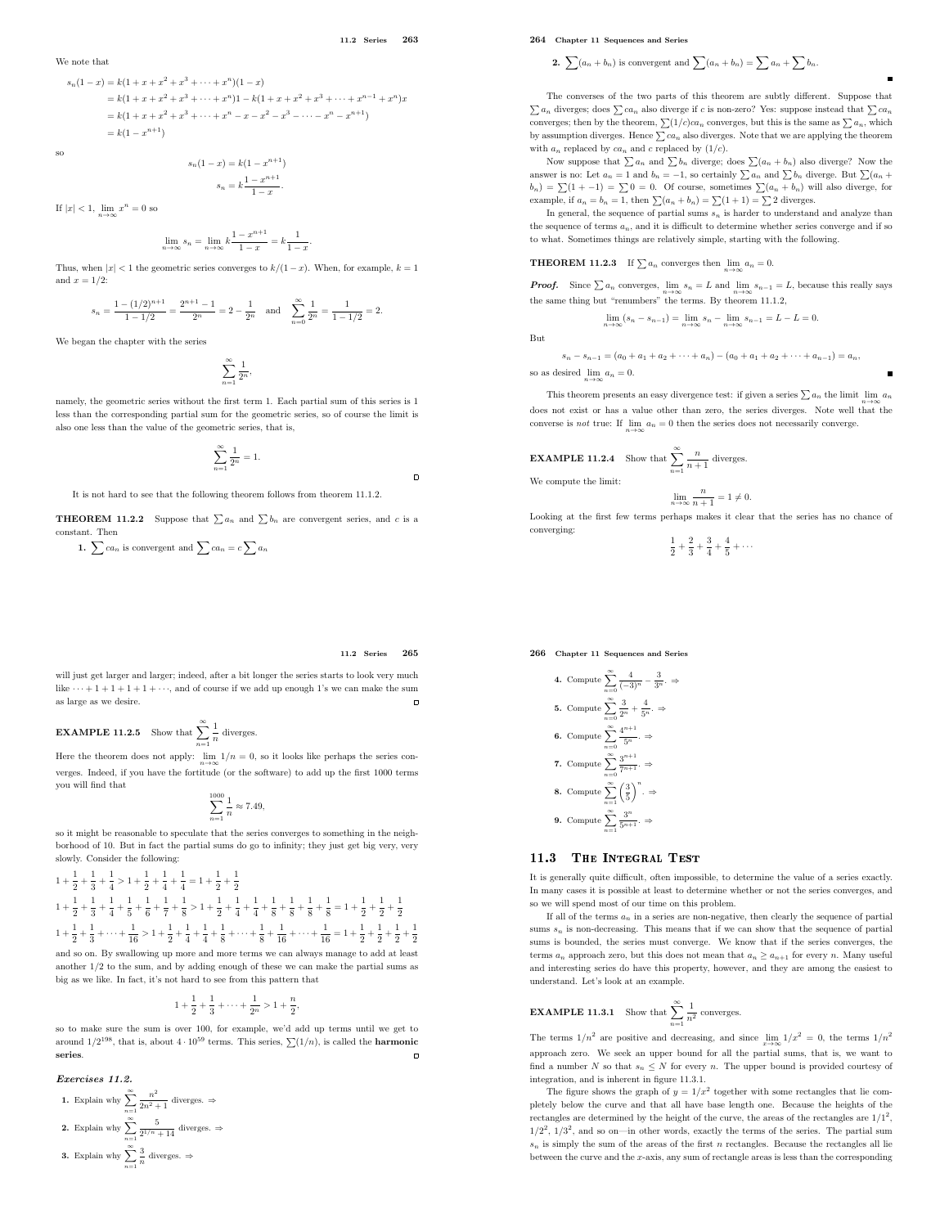11.2 Series 263

We note that  
\n
$$
s_n(1-x) = k(1+x+x^2+x^3+\cdots+x^n)(1-x)
$$
\n
$$
= k(1+x+x^2+x^3+\cdots+x^n)1 - k(1+x+x^2+x^3+\cdots+x^{n-1}+x^n)x
$$
\n
$$
= k(1+x+x^2+x^3+\cdots+x^n-x-x^2-x^3-\cdots-x^n-x^{n+1})
$$
\n
$$
= k(1-x^{n+1})
$$

so

$$
s_n(1-x) = k(1 - x^{n+1})
$$

$$
s_n = k \frac{1 - x^{n+1}}{1 - x}.
$$

If  $|x| < 1$ ,  $\lim_{n \to \infty} x^n = 0$  so

$$
\lim_{n \to \infty} s_n = \lim_{n \to \infty} k \frac{1 - x^{n+1}}{1 - x} = k \frac{1}{1 - x}.
$$

Thus, when  $|x| < 1$  the geometric series converges to  $k/(1-x)$ . When, for example,  $k = 1$ and  $x = 1/2$ .

$$
s_n = \frac{1 - (1/2)^{n+1}}{1 - 1/2} = \frac{2^{n+1} - 1}{2^n} = 2 - \frac{1}{2^n} \quad \text{and} \quad \sum_{n=0}^{\infty} \frac{1}{2^n} = \frac{1}{1 - 1/2} = 2.
$$

We began the chapter with the series

$$
\sum_{n=1}^\infty \frac{1}{2^n},
$$

namely, the geometric series without the first term 1. Each partial sum of this series is 1 less than the corresponding partial sum for the geometric series, so of course the limit is also one less than the value of the geometric series, that is,

$$
\sum_{n=1}^\infty \frac{1}{2^n} = 1.
$$

It is not hard to see that the following theorem follows from theorem 11.1.2.

**THEOREM 11.2.2** Suppose that  $\sum a_n$  and  $\sum b_n$  are convergent series, and c is a constant. Then

1. 
$$
\sum ca_n
$$
 is convergent and  $\sum ca_n = c \sum a_n$ 

11.2 Series 265

will just get larger and larger; indeed, after a bit longer the series starts to look very much like  $\cdots + 1 + 1 + 1 + 1 + \cdots$ , and of course if we add up enough 1's we can make the sum as large as we desire.  $\Box$ 

**EXAMPLE 11.2.5** Show that  $\sum_{n=1}^{\infty} \frac{1}{n^2}$  $n=1$  $\frac{1}{n}$  diverges.

Here the theorem does not apply:  $\lim_{n\to\infty} 1/n = 0$ , so it looks like perhaps the series converges. Indeed, if you have the fortitude (or the software) to add up the first 1000 terms you will find that

$$
\sum_{n=1}^{1000} \frac{1}{n} \approx 7.49,
$$

so it might be reasonable to speculate that the series converges to something in the neighborhood of 10. But in fact the partial sums do go to infinity; they just get big very, very slowly. Consider the following:

$$
\begin{aligned}1+\frac{1}{2}+\frac{1}{3}+\frac{1}{4}>1+\frac{1}{2}+\frac{1}{4}+\frac{1}{4}=1+\frac{1}{2}+\frac{1}{2}\\1+\frac{1}{2}+\frac{1}{3}+\frac{1}{4}+\frac{1}{5}+\frac{1}{6}+\frac{1}{7}+\frac{1}{8}>1+\frac{1}{2}+\frac{1}{4}+\frac{1}{4}+\frac{1}{8}+\frac{1}{8}+\frac{1}{8}+\frac{1}{8}=1+\frac{1}{2}+\frac{1}{2}+\frac{1}{2}\\1+\frac{1}{2}+\frac{1}{3}+\cdots+\frac{1}{16}>1+\frac{1}{2}+\frac{1}{4}+\frac{1}{4}+\frac{1}{8}+\cdots+\frac{1}{8}+\frac{1}{16}+\cdots+\frac{1}{16}=1+\frac{1}{2}+\frac{1}{2}+\frac{1}{2}+\frac{1}{2}\end{aligned}
$$

and so on. By swallowing up more and more terms we can always manage to add at least another 1/2 to the sum, and by adding enough of these we can make the partial sums as big as we like. In fact, it's not hard to see from this pattern that

$$
1 + \frac{1}{2} + \frac{1}{3} + \dots + \frac{1}{2^n} > 1 + \frac{n}{2},
$$

so to make sure the sum is over 100, for example, we'd add up terms until we get to around  $1/2^{198}$ , that is, about  $4 \cdot 10^{59}$  terms. This series,  $\sum (1/n)$ , is called the **harmonic** series.

Exercises 11.2.

\n- **1.** Explain why 
$$
\sum_{n=1}^{\infty} \frac{n^2}{2n^2 + 1}
$$
 diverges.  $\Rightarrow$
\n- **2.** Explain why  $\sum_{n=1}^{\infty} \frac{5}{2^{1/n} + 14}$  diverges.  $\Rightarrow$
\n- **3.** Explain why  $\sum_{n=1}^{\infty} \frac{3}{n}$  diverges.  $\Rightarrow$
\n

# 264 Chapter 11 Sequences and Series

2.  $\sum (a_n + b_n)$  is convergent and  $\sum (a_n + b_n) = \sum a_n + \sum b_n$ .

The converses of the two parts of this theorem are subtly different. Suppose that  $\sum a_n$  diverges; does  $\sum ca_n$  also diverge if c is non-zero? Yes: suppose instead that  $\sum ca_n$ converges; then by the theorem,  $\sum (1/c)ca_n$  converges, but this is the same as  $\sum a_n$ , which by assumption diverges. Hence  $\sum_{n=1}^{\infty} a_n$  also diverges. Note that we are applying the theorem with  $a_n$  replaced by  $ca_n$  and c replaced by  $(1/c)$ .

Now suppose that  $\sum a_n$  and  $\sum b_n$  diverge; does  $\sum (a_n + b_n)$  also diverge? Now the answer is no: Let  $a_n = 1$  and  $b_n = -1$ , so certainly  $\sum a_n$  and  $\sum b_n$  diverge. But  $\sum (a_n +$  $b_n$ ) =  $\sum(1 + -1)$  =  $\sum 0$  = 0. Of course, sometimes  $\sum(a_n + b_n)$  will also diverge, for example, if  $a_n = b_n = 1$ , then  $\sum (a_n + b_n) = \sum (1 + 1) = \sum 2$  diverges.

In general, the sequence of partial sums  $s_n$  is harder to understand and analyze than the sequence of terms  $a_n$ , and it is difficult to determine whether series converge and if so to what. Sometimes things are relatively simple, starting with the following.

# **THEOREM 11.2.3** If  $\sum a_n$  converges then  $\lim_{n\to\infty} a_n = 0$ .

**Proof.** Since  $\sum a_n$  converges,  $\lim_{n\to\infty} s_n = L$  and  $\lim_{n\to\infty} s_{n-1} = L$ , because this really says the same thing but "renumbers" the terms. By theorem 11.1.2,

$$
\lim_{n \to \infty} (s_n - s_{n-1}) = \lim_{n \to \infty} s_n - \lim_{n \to \infty} s_{n-1} = L - L = 0.
$$

But

$$
s_n - s_{n-1} = (a_0 + a_1 + a_2 + \dots + a_n) - (a_0 + a_1 + a_2 + \dots + a_{n-1}) = a_n,
$$
  
so as desired  $\lim_{n \to \infty} a_n = 0$ .

This theorem presents an easy divergence test: if given a series  $\sum a_n$  the limit  $\lim_{n\to\infty} a_n$ does not exist or has a value other than zero, the series diverges. Note well that the converse is *not* true: If  $\lim_{n\to\infty} a_n = 0$  then the series does not necessarily converge.

**EXAMPLE 11.2.4** Show that 
$$
\sum_{n=1}^{\infty} \frac{n}{n+1}
$$
 diverges.

We compute the limit:

 $\lim_{n\to\infty}\frac{n}{n+1}$  $\frac{n}{n+1} = 1 \neq 0.$ Looking at the first few terms perhaps makes it clear that the series has no chance of converging:

> 1  $\frac{1}{2} + \frac{2}{3}$  $\frac{2}{3} + \frac{3}{4}$  $\frac{3}{4} + \frac{4}{5}$  $\frac{1}{5} + \cdots$

266 Chapter 11 Sequences and Series

4. Compute 
$$
\sum_{n=0}^{\infty} \frac{4}{(-3)^n} - \frac{3}{3^n} \Rightarrow
$$
  
\n5. Compute 
$$
\sum_{n=0}^{\infty} \frac{3}{2^n} + \frac{4}{5^n} \Rightarrow
$$
  
\n6. Compute 
$$
\sum_{n=0}^{\infty} \frac{4^{n+1}}{5^n} \Rightarrow
$$
  
\n7. Compute 
$$
\sum_{n=0}^{\infty} \frac{3^{n+1}}{7^{n+1}} \Rightarrow
$$
  
\n8. Compute 
$$
\sum_{n=1}^{\infty} \left(\frac{3}{5}\right)^n \Rightarrow
$$
  
\n9. Compute 
$$
\sum_{n=1}^{\infty} \frac{3^n}{5^{n+1}} \Rightarrow
$$

# 11.3 The Integral Test

It is generally quite difficult, often impossible, to determine the value of a series exactly. In many cases it is possible at least to determine whether or not the series converges, and so we will spend most of our time on this problem.

If all of the terms  $a_n$  in a series are non-negative, then clearly the sequence of partial sums  $s_n$  is non-decreasing. This means that if we can show that the sequence of partial sums is bounded, the series must converge. We know that if the series converges, the terms  $a_n$  approach zero, but this does not mean that  $a_n \geq a_{n+1}$  for every  $n.$  Many useful and interesting series do have this property, however, and they are among the easiest to understand. Let's look at an example.

**EXAMPLE 11.3.1** Show that 
$$
\sum_{n=1}^{\infty} \frac{1}{n^2}
$$
 converges.

The terms  $1/n^2$  are positive and decreasing, and since  $\lim_{x\to\infty} 1/x^2 = 0$ , the terms  $1/n^2$ approach zero. We seek an upper bound for all the partial sums, that is, we want to find a number  $N$  so that  $s_n$   $\leq$   $N$  for every  $n.$  The upper bound is provided courtesy of integration, and is inherent in figure 11.3.1.

The figure shows the graph of  $y = 1/x^2$  together with some rectangles that lie completely below the curve and that all have base length one. Because the heights of the rectangles are determined by the height of the curve, the areas of the rectangles are  $1/1^2$ ,  $1/2^2$ ,  $1/3^2$ , and so on—in other words, exactly the terms of the series. The partial sum  $s_n$  is simply the sum of the areas of the first n rectangles. Because the rectangles all lie between the curve and the x-axis, any sum of rectangle areas is less than the corresponding

$$
f_{\rm{max}}
$$

 $\overline{a}$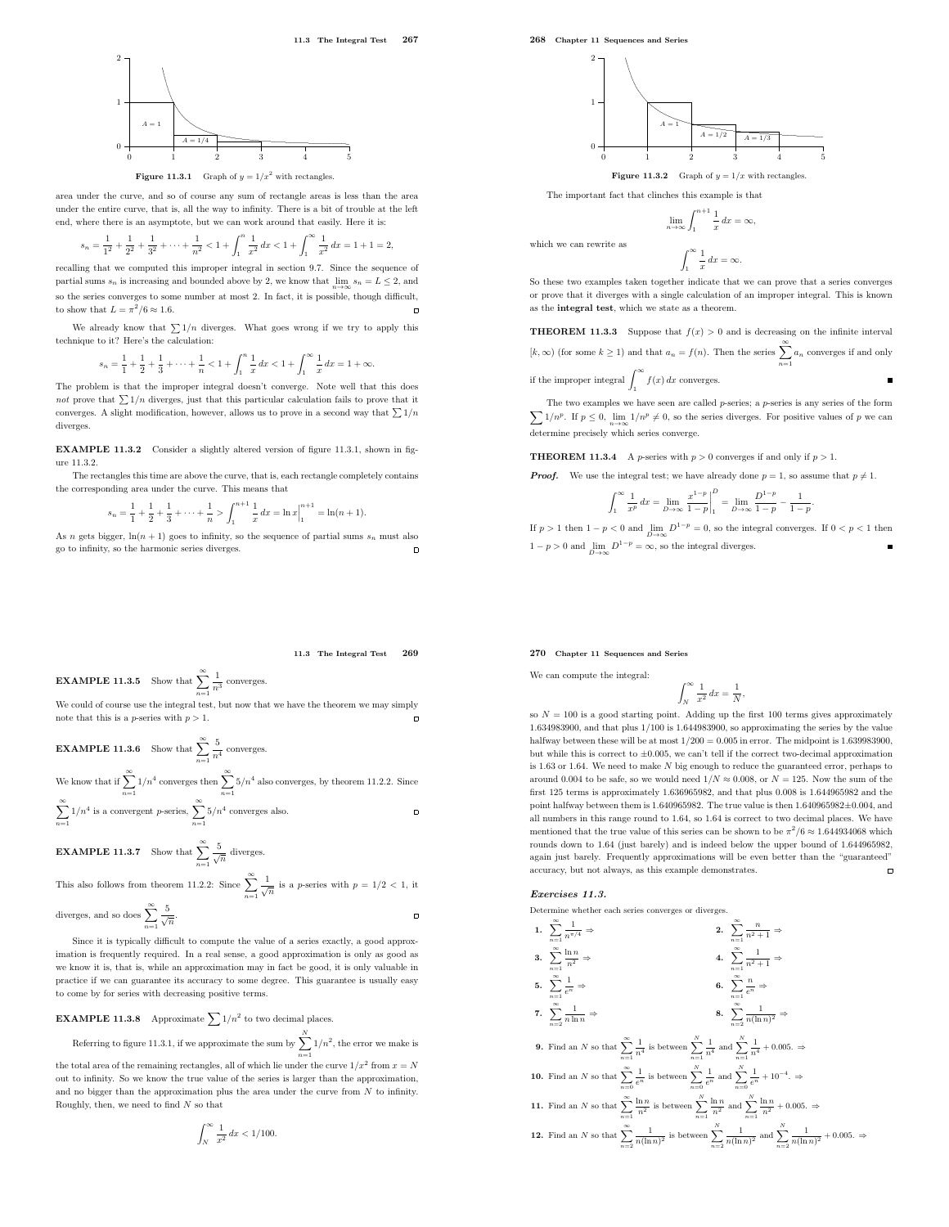11.3 The Integral Test 267



**Figure 11.3.1** Graph of  $y = 1/x^2$  with rectangles.

 $\boldsymbol{0}$ 

 $s_n$ 

1

2

area under the curve, and so of course any sum of rectangle areas is less than the area under the entire curve, that is, all the way to infinity. There is a bit of trouble at the left end, where there is an asymptote, but we can work around that easily. Here it is:

$$
= \frac{1}{1^2} + \frac{1}{2^2} + \frac{1}{3^2} + \dots + \frac{1}{n^2} < 1 + \int_1^n \frac{1}{x^2} dx < 1 + \int_1^\infty \frac{1}{x^2} dx = 1 + 1 = 2,
$$

recalling that we computed this improper integral in section 9.7. Since the sequence of partial sums  $s_n$  is increasing and bounded above by 2, we know that  $\lim_{n\to\infty} s_n = L \leq 2$ , and so the series converges to some number at most 2. In fact, it is possible, though difficult, to show that  $L = \pi^2/6 \approx 1.6$ .

We already know that  $\sum 1/n$  diverges. What goes wrong if we try to apply this technique to it? Here's the calculation:

$$
s_n = \frac{1}{1} + \frac{1}{2} + \frac{1}{3} + \dots + \frac{1}{n} < 1 + \int_1^n \frac{1}{x} \, dx < 1 + \int_1^\infty \frac{1}{x} \, dx = 1 + \infty.
$$

The problem is that the improper integral doesn't converge. Note well that this does not prove that  $\sum 1/n$  diverges, just that this particular calculation fails to prove that it converges. A slight modification, however, allows us to prove in a second way that  $\sum 1/n$ diverges.

EXAMPLE 11.3.2 Consider a slightly altered version of figure 11.3.1, shown in figure 11.3.2.

The rectangles this time are above the curve, that is, each rectangle completely contains the corresponding area under the curve. This means that

$$
s_n = \frac{1}{1} + \frac{1}{2} + \frac{1}{3} + \dots + \frac{1}{n} > \int_1^{n+1} \frac{1}{x} dx = \ln x \Big|_1^{n+1} = \ln(n+1).
$$

As n gets bigger,  $\ln(n + 1)$  goes to infinity, so the sequence of partial sums  $s_n$  must also go to infinity, so the harmonic series diverges.  $\Box$  268 Chapter 11 Sequences and Series



The important fact that clinches this example is that

$$
\lim_{n \to \infty} \int_{1}^{n+1} \frac{1}{x} dx = \infty,
$$

which we can rewrite as

$$
\int_{1}^{\infty} \frac{1}{x} \, dx = \infty.
$$

So these two examples taken together indicate that we can prove that a series converges or prove that it diverges with a single calculation of an improper integral. This is known as the integral test, which we state as a theorem.

**THEOREM 11.3.3** Suppose that  $f(x) > 0$  and is decreasing on the infinite interval  $[k, ∞)$  (for some  $k ≥ 1$ ) and that  $a_n = f(n)$ . Then the series  $\sum^{\infty} a_n$  converges if and only

 $n=1$ 

if the improper integral  $\int_1^\infty f(x) dx$  converges.

 $\sum 1/n^p$ . If  $p \le 0$ ,  $\lim_{n \to \infty} 1/n^p \ne 0$ , so the series diverges. For positive values of p we can The two examples we have seen are called  $p$ -series; a  $p$ -series is any series of the form determine precisely which series converge.

**THEOREM 11.3.4** A *p*-series with  $p > 0$  converges if and only if  $p > 1$ .

**Proof.** We use the integral test; we have already done  $p = 1$ , so assume that  $p \neq 1$ .

$$
\int_{1}^{\infty} \frac{1}{x^{p}} dx = \lim_{D \to \infty} \frac{x^{1-p}}{1-p} \bigg|_{1}^{D} = \lim_{D \to \infty} \frac{D^{1-p}}{1-p} - \frac{1}{1-p}.
$$

If  $p > 1$  then  $1 - p < 0$  and  $\lim_{D \to \infty} D^{1-p} = 0$ , so the integral converges. If  $0 < p < 1$  then  $1 - p > 0$  and  $\lim_{D \to \infty} D^{1-p} = \infty$ , so the integral diverges.

# 11.3 The Integral Test 269

 $\Box$ 

 $\overline{a}$ 

**EXAMPLE 11.3.5** Show that 
$$
\sum_{n=1}^{\infty} \frac{1}{n^3}
$$
 converges.

We could of course use the integral test, but now that we have the theorem we may simply note that this is a  $p\text{-series}$  with  $p>1.$ 

**EXAMPLE 11.3.6** Show that 
$$
\sum_{n=1}^{\infty} \frac{5}{n^4}
$$
 converges.

We know that if  $\sum_{n=1}^{\infty} 1/n^4$  converges then  $\sum_{n=1}^{\infty} 5/n^4$  also converges, by theorem 11.2.2. Since

$$
\sum_{n=1}^{\infty} 1/n^4
$$
 is a convergent  $p$ -series,  $\sum_{n=1}^{\infty} 5/n^4$  converges also.

**EXAMPLE 11.3.7** Show that 
$$
\sum_{n=1}^{\infty} \frac{5}{\sqrt{n}}
$$
 diverges.

This also follows from theorem 11.2.2: Since  $\sum_{n=1}^{\infty} \frac{1}{\sqrt{n}}$  is a *p*-series with  $p = 1/2 < 1$ , it  $n=1$ 

diverges, and so does 
$$
\sum_{n=1}^{\infty} \frac{5}{\sqrt{n}}
$$
.

Since it is typically difficult to compute the value of a series exactly, a good approximation is frequently required. In a real sense, a good approximation is only as good as we know it is, that is, while an approximation may in fact be good, it is only valuable in practice if we can guarantee its accuracy to some degree. This guarantee is usually easy to come by for series with decreasing positive terms.

**EXAMPLE 11.3.8** Approximate 
$$
\sum 1/n^2
$$
 to two decimal places.

Referring to figure 11.3.1, if we approximate the sum by  $\sum_{n=1}^{N}1/n^2$ , the error we make is  $n=1$ 

the total area of the remaining rectangles, all of which lie under the curve  $1/x^2$  from  $x = N$ out to infinity. So we know the true value of the series is larger than the approximation, and no bigger than the approximation plus the area under the curve from  $N$  to infinity. Roughly, then, we need to find  $N$  so that

$$
\int_N^{\infty} \frac{1}{x^2} \, dx < 1/100.
$$

# 270 Chapter 11 Sequences and Series

We can compute the integral:

$$
\int_{N}^{\infty} \frac{1}{x^2} \, dx = \frac{1}{N}
$$

,

so  $N = 100$  is a good starting point. Adding up the first 100 terms gives approximately 1.634983900, and that plus 1/100 is 1.644983900, so approximating the series by the value halfway between these will be at most  $1/200 = 0.005$  in error. The midpoint is 1.639983900, but while this is correct to  $\pm 0.005$ , we can't tell if the correct two-decimal approximation is 1.63 or 1.64. We need to make  $N$  big enough to reduce the guaranteed error, perhaps to around 0.004 to be safe, so we would need  $1/N \approx 0.008$ , or  $N = 125$ . Now the sum of the first 125 terms is approximately 1.636965982, and that plus 0.008 is 1.644965982 and the point halfway between them is 1.640965982. The true value is then 1.640965982±0.004, and all numbers in this range round to 1.64, so 1.64 is correct to two decimal places. We have mentioned that the true value of this series can be shown to be  $\pi^2/6 \approx 1.644934068$  which rounds down to 1.64 (just barely) and is indeed below the upper bound of 1.644965982. again just barely. Frequently approximations will be even better than the "guaranteed" accuracy, but not always, as this example demonstrates.  $\Box$ 

# Exercises 11.3.

Determine whether each series converges or diverges.

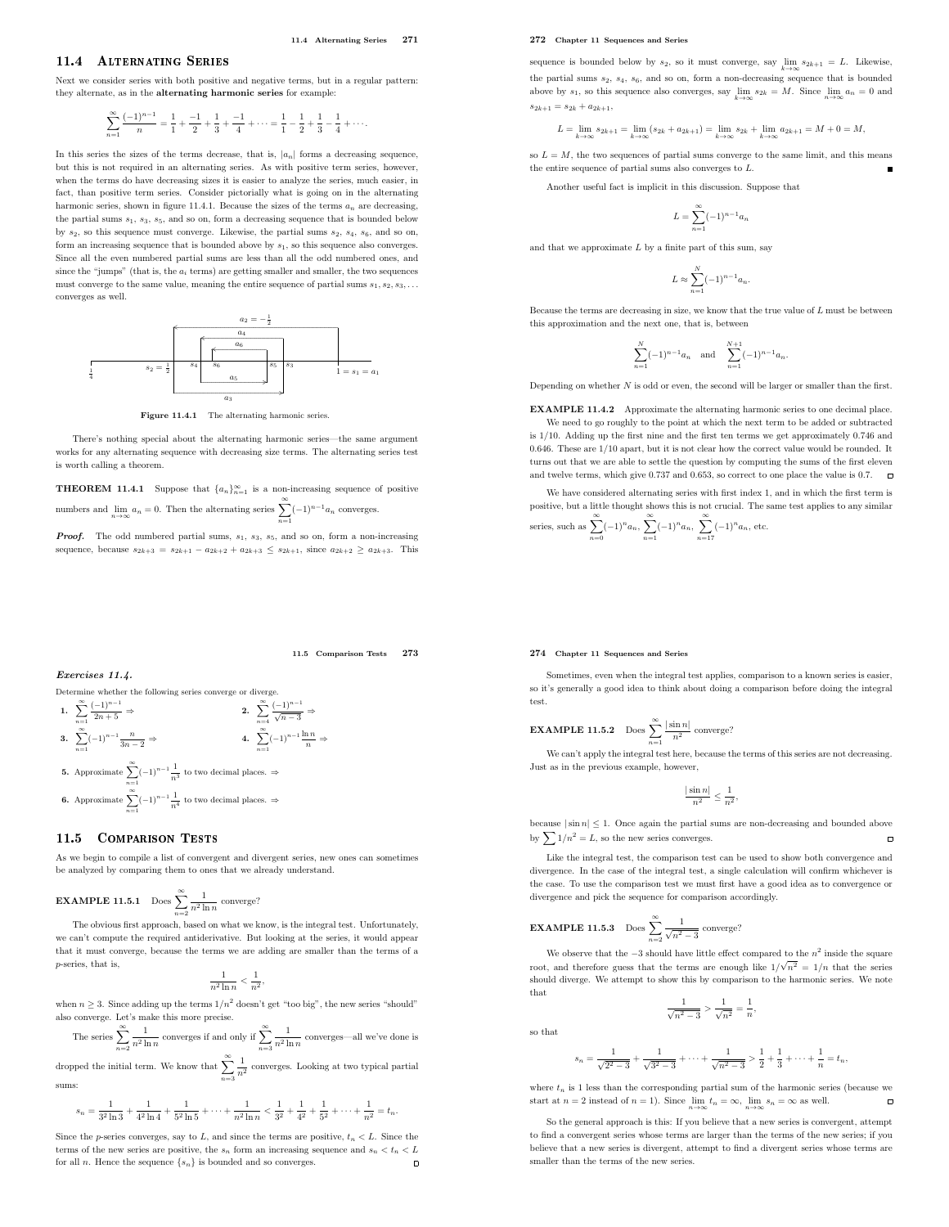# 11.4 Alternating Series

Next we consider series with both positive and negative terms, but in a regular pattern: they alternate, as in the alternating harmonic series for example:

$$
\sum_{n=1}^{\infty} \frac{(-1)^{n-1}}{n} = \frac{1}{1} + \frac{-1}{2} + \frac{1}{3} + \frac{-1}{4} + \dots = \frac{1}{1} - \frac{1}{2} + \frac{1}{3} - \frac{1}{4} + \dots
$$

In this series the sizes of the terms decrease, that is,  $\left\vert a_{n}\right\vert$  forms a decreasing sequence, but this is not required in an alternating series. As with positive term series, however, when the terms do have decreasing sizes it is easier to analyze the series, much easier, in fact, than positive term series. Consider pictorially what is going on in the alternating harmonic series, shown in figure 11.4.1. Because the sizes of the terms  $a_n$  are decreasing, the partial sums  $s_1$ ,  $s_3$ ,  $s_5$ , and so on, form a decreasing sequence that is bounded below by  $s_2$ , so this sequence must converge. Likewise, the partial sums  $s_2$ ,  $s_4$ ,  $s_6$ , and so on, form an increasing sequence that is bounded above by  $s_1$ , so this sequence also converges. Since all the even numbered partial sums are less than all the odd numbered ones, and since the "jumps" (that is, the  $a_i$  terms) are getting smaller and smaller, the two sequences must converge to the same value, meaning the entire sequence of partial sums  $s_1, s_2, s_3, \ldots$ converges as well.



Figure 11.4.1 The alternating harmonic series.

There's nothing special about the alternating harmonic series—the same argument works for any alternating sequence with decreasing size terms. The alternating series test is worth calling a theorem.

**THEOREM 11.4.1** Suppose that  $\{a_n\}_{n=1}^{\infty}$  is a non-increasing sequence of positive numbers and  $\lim_{n\to\infty} a_n = 0$ . Then the alternating series  $\sum_{n=0}^{\infty} (-1)^{n-1} a_n$  converges.

**Proof.** The odd numbered partial sums,  $s_1$ ,  $s_3$ ,  $s_5$ , and so on, form a non-increasing sequence, because  $s_{2k+3} = s_{2k+1} - a_{2k+2} + a_{2k+3} \le s_{2k+1}$ , since  $a_{2k+2} \ge a_{2k+3}$ . This

 $n=1$ 

11.5 Comparison Tests 273

⇒

272 Chapter 11 Sequences and Series

sequence is bounded below by  $s_2$ , so it must converge, say  $\lim_{k\to\infty} s_{2k+1} = L$ . Likewise, the partial sums  $s_2$ ,  $s_4$ ,  $s_6$ , and so on, form a non-decreasing sequence that is bounded above by  $s_1$ , so this sequence also converges, say  $\lim_{k\to\infty} s_{2k} = M$ . Since  $\lim_{n\to\infty} a_n = 0$  and  $s_{2k+1} = s_{2k} + a_{2k+1}$ 

$$
L = \lim_{k \to \infty} s_{2k+1} = \lim_{k \to \infty} (s_{2k} + a_{2k+1}) = \lim_{k \to \infty} s_{2k} + \lim_{k \to \infty} a_{2k+1} = M + 0 = M,
$$

so  $L = M$ , the two sequences of partial sums converge to the same limit, and this means the entire sequence of partial sums also converges to L.

Another useful fact is implicit in this discussion. Suppose that

$$
L = \sum_{n=1}^{\infty} (-1)^{n-1} a_n
$$

and that we approximate  $L$  by a finite part of this sum, say

$$
L\approx \sum_{n=1}^N(-1)^{n-1}a_n.
$$

Because the terms are decreasing in size, we know that the true value of  $L$  must be between this approximation and the next one, that is, between

$$
\sum_{n=1}^{N} (-1)^{n-1} a_n \quad \text{and} \quad \sum_{n=1}^{N+1} (-1)^{n-1} a_n.
$$

Depending on whether  $N$  is odd or even, the second will be larger or smaller than the first.

EXAMPLE 11.4.2 Approximate the alternating harmonic series to one decimal place. We need to go roughly to the point at which the next term to be added or subtracted is 1/10. Adding up the first nine and the first ten terms we get approximately 0.746 and 0.646. These are 1/10 apart, but it is not clear how the correct value would be rounded. It turns out that we are able to settle the question by computing the sums of the first eleven and twelve terms, which give 0.737 and 0.653, so correct to one place the value is 0.7.  $\blacksquare$ 

We have considered alternating series with first index 1, and in which the first term is positive, but a little thought shows this is not crucial. The same test applies to any similar

series, such as 
$$
\sum_{n=0}^{\infty} (-1)^n a_n, \sum_{n=1}^{\infty} (-1)^n a_n, \sum_{n=17}^{\infty} (-1)^n a_n
$$
, etc.

# 274 Chapter 11 Sequences and Series

Sometimes, even when the integral test applies, comparison to a known series is easier, so it's generally a good idea to think about doing a comparison before doing the integral test.

**EXAMPLE 11.5.2** Does 
$$
\sum_{n=1}^{\infty} \frac{|\sin n|}{n^2}
$$
 converge?

We can't apply the integral test here, because the terms of this series are not decreasing. Just as in the previous example, however,

$$
\frac{|\sin n|}{n^2} \le \frac{1}{n^2},
$$

because  $|\sin n| \leq 1$ . Once again the partial sums are non-decreasing and bounded above by  $\sum 1/n^2 = L$ , so the new series converges.  $\Box$ 

Like the integral test, the comparison test can be used to show both convergence and divergence. In the case of the integral test, a single calculation will confirm whichever is the case. To use the comparison test we must first have a good idea as to convergence or divergence and pick the sequence for comparison accordingly.

**EXAMPLE 11.5.3** Does 
$$
\sum_{n=2}^{\infty} \frac{1}{\sqrt{n^2 - 3}}
$$
 converge?

so that

We observe that the  $-3$  should have little effect compared to the  $n^2$  inside the square root, and therefore guess that the terms are enough like  $1/\sqrt{n^2} = 1/n$  that the series should diverge. We attempt to show this by comparison to the harmonic series. We note that

$$
\frac{1}{\sqrt{n^2 - 3}} > \frac{1}{\sqrt{n^2}} = \frac{1}{n},
$$

$$
s_n = \frac{1}{\sqrt{2^2 - 3}} + \frac{1}{\sqrt{3^2 - 3}} + \dots + \frac{1}{\sqrt{n^2 - 3}} > \frac{1}{2} + \frac{1}{3} + \dots + \frac{1}{n} = t_n,
$$

where  $t_n$  is 1 less than the corresponding partial sum of the harmonic series (because we start at  $n = 2$  instead of  $n = 1$ ). Since  $\lim_{n \to \infty} t_n = \infty$ ,  $\lim_{n \to \infty} s_n = \infty$  as well.  $\Box$ 

So the general approach is this: If you believe that a new series is convergent, attempt to find a convergent series whose terms are larger than the terms of the new series; if you believe that a new series is divergent, attempt to find a divergent series whose terms are smaller than the terms of the new series.

$$
Exercises~11.4.
$$

Determine whether the following series converge or diverge.

\n1. 
$$
\sum_{n=1}^{\infty} \frac{(-1)^{n-1}}{2n+5} \Rightarrow
$$

\n2. 
$$
\sum_{n=4}^{\infty} \frac{(-1)^{n-1}}{\sqrt{n-3}} \Rightarrow
$$

\n3. 
$$
\sum_{n=1}^{\infty} (-1)^{n-1} \frac{n}{3n-2} \Rightarrow
$$

\n4. 
$$
\sum_{n=1}^{\infty} (-1)^{n-1} \frac{\ln n}{n}
$$

\n5. Approximate 
$$
\sum_{n=1}^{\infty} (-1)^{n-1} \frac{1}{n^3}
$$
 to two decimal places. ⇒

\n6. Approximate 
$$
\sum_{n=1}^{\infty} (-1)^{n-1} \frac{1}{n^4}
$$
 to two decimal places. ⇒

# 11.5 COMPARISON TESTS

As we begin to compile a list of convergent and divergent series, new ones can sometimes be analyzed by comparing them to ones that we already understand.

**EXAMPLE 11.5.1** Does 
$$
\sum_{n=2}^{\infty} \frac{1}{n^2 \ln n}
$$
 converge?

The obvious first approach, based on what we know, is the integral test. Unfortunately, we can't compute the required antiderivative. But looking at the series, it would appear that it must converge, because the terms we are adding are smaller than the terms of a p-series, that is

$$
\frac{1}{n^2\ln n}<\frac{1}{n^2},
$$

when  $n \geq 3$ . Since adding up the terms  $1/n^2$  doesn't get "too big", the new series "should" also converge. Let's make this more precise.

The series 
$$
\sum_{n=2}^{\infty} \frac{1}{n^2 \ln n}
$$
 converges if and only if  $\sum_{n=3}^{\infty} \frac{1}{n^2 \ln n}$  converges—all we've done is

dropped the initial term. We know that  $\sum_{n=1}^{\infty} \frac{1}{n^2}$  converges. Looking at two typical partial  $n=3$ sums:

$$
s_n = \frac{1}{3^2 \ln 3} + \frac{1}{4^2 \ln 4} + \frac{1}{5^2 \ln 5} + \dots + \frac{1}{n^2 \ln n} < \frac{1}{3^2} + \frac{1}{4^2} + \frac{1}{5^2} + \dots + \frac{1}{n^2} = t_n.
$$

Since the p-series converges, say to L, and since the terms are positive,  $t_n < L$ . Since the terms of the new series are positive, the  $s_n$  form an increasing sequence and  $s_n < t_n < L$ for all *n*. Hence the sequence  $\{s_n\}$  is bounded and so converges.  $\Box$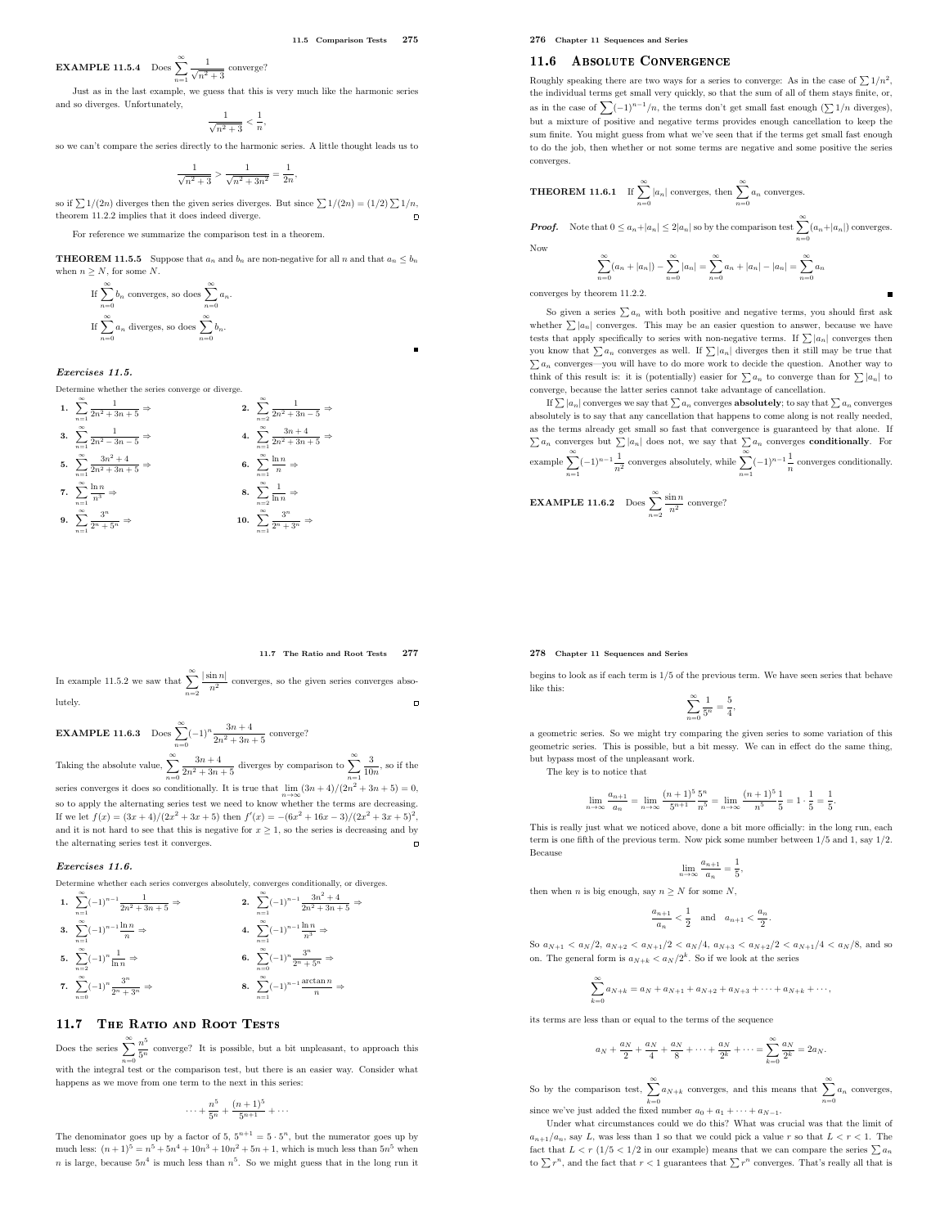**EXAMPLE 11.5.4** Does 
$$
\sum_{n=1}^{\infty} \frac{1}{\sqrt{n^2 + 3}}
$$
 converge?

Just as in the last example, we guess that this is very much like the harmonic series and so diverges. Unfortunately,

 $\frac{1}{\sqrt{n^2+3}} < \frac{1}{n}$ n ,

so we can't compare the series directly to the harmonic series. A little thought leads us to

$$
\frac{1}{\sqrt{n^2+3}} > \frac{1}{\sqrt{n^2+3n^2}} = \frac{1}{2n},
$$

so if  $\sum 1/(2n)$  diverges then the given series diverges. But since  $\sum 1/(2n) = (1/2)\sum 1/n$ , theorem 11.2.2 implies that it does indeed diverge.

For reference we summarize the comparison test in a theorem.

**THEOREM 11.5.5** Suppose that  $a_n$  and  $b_n$  are non-negative for all n and that  $a_n \leq b_n$ when  $n \geq N$ , for some N.

If 
$$
\sum_{n=0}^{\infty} b_n
$$
 converges, so does  $\sum_{n=0}^{\infty} a_n$ .  
If  $\sum_{n=0}^{\infty} a_n$  diverges, so does  $\sum_{n=0}^{\infty} b_n$ .

Exercises 11.5.

Determine whether the series converge or diverge.

1. 
$$
\sum_{n=1}^{\infty} \frac{1}{2n^2 + 3n + 5} \Rightarrow
$$
  
\n2. 
$$
\sum_{n=2}^{\infty} \frac{1}{2n^2 + 3n - 5} \Rightarrow
$$
  
\n3. 
$$
\sum_{n=1}^{\infty} \frac{1}{2n^2 - 3n - 5} \Rightarrow
$$
  
\n4. 
$$
\sum_{n=1}^{\infty} \frac{3n + 4}{2n^2 + 3n + 5} \Rightarrow
$$
  
\n5. 
$$
\sum_{n=1}^{\infty} \frac{3n^2 + 4}{2n^2 + 3n + 5} \Rightarrow
$$
  
\n6. 
$$
\sum_{n=1}^{\infty} \frac{\ln n}{n} \Rightarrow
$$
  
\n7. 
$$
\sum_{n=1}^{\infty} \frac{\ln n}{n^3} \Rightarrow
$$
  
\n8. 
$$
\sum_{n=1}^{\infty} \frac{1}{\ln n} \Rightarrow
$$
  
\n9. 
$$
\sum_{n=1}^{\infty} \frac{3^n}{2^n + 5^n} \Rightarrow
$$
  
\n10. 
$$
\sum_{n=1}^{\infty} \frac{3^n}{2^n + 3^n} \Rightarrow
$$

276 Chapter 11 Sequences and Series

# 11.6 ABSOLUTE CONVERGENCE

Roughly speaking there are two ways for a series to converge: As in the case of  $\sum 1/n^2$ , the individual terms get small very quickly, so that the sum of all of them stays finite, or, as in the case of  $\sum (-1)^{n-1}/n$ , the terms don't get small fast enough  $(\sum 1/n$  diverges), but a mixture of positive and negative terms provides enough cancellation to keep the sum finite. You might guess from what we've seen that if the terms get small fast enough to do the job, then whether or not some terms are negative and some positive the series converges.

**THEOREM 11.6.1** If 
$$
\sum_{n=0}^{\infty} |a_n|
$$
 converges, then  $\sum_{n=0}^{\infty} a_n$  converges.

**Proof.** Note that  $0 \le a_n + |a_n| \le 2|a_n|$  so by the comparison test  $\sum_{n=0}^{\infty} (a_n + |a_n|)$  converges. Now

$$
\sum_{n=0}^{\infty} (a_n + |a_n|) - \sum_{n=0}^{\infty} |a_n| = \sum_{n=0}^{\infty} a_n + |a_n| - |a_n| = \sum_{n=0}^{\infty} a_n
$$

converges by theorem 11.2.2.

So given a series  $\sum a_n$  with both positive and negative terms, you should first ask whether  $\sum |a_n|$  converges. This may be an easier question to answer, because we have tests that apply specifically to series with non-negative terms. If  $\sum |a_n|$  converges then you know that  $\sum a_n$  converges as well. If  $\sum |a_n|$  diverges then it still may be true that  $\sum a_n$  converges—you will have to do more work to decide the question. Another way to think of this result is: it is (potentially) easier for  $\sum a_n$  to converge than for  $\sum |a_n|$  to converge, because the latter series cannot take advantage of cancellation.

If  $\sum |a_n|$  converges we say that  $\sum a_n$  converges **absolutely**; to say that  $\sum a_n$  converges absolutely is to say that any cancellation that happens to come along is not really needed, as the terms already get small so fast that convergence is guaranteed by that alone. If  $\sum a_n$  converges but  $\sum |a_n|$  does not, we say that  $\sum a_n$  converges **conditionally**. For example  $\sum_{n=1}^{\infty} (-1)^{n-1} \frac{1}{n^2}$  converges absolutely, while  $\sum_{n=1}^{\infty} (-1)^{n-1} \frac{1}{n}$  $\frac{1}{n}$  converges conditionally.

**EXAMPLE 11.6.2** Does 
$$
\sum_{n=2}^{\infty} \frac{\sin n}{n^2}
$$
 converge?

# 278 Chapter 11 Sequences and Series

begins to look as if each term is 1/5 of the previous term. We have seen series that behave like this:

$$
\sum_{n=0}^{\infty} \frac{1}{5^n} = \frac{5}{4},
$$

a geometric series. So we might try comparing the given series to some variation of this geometric series. This is possible, but a bit messy. We can in effect do the same thing, but bypass most of the unpleasant work.

The key is to notice that

then when  $n$  is big enough

$$
\lim_{n \to \infty} \frac{a_{n+1}}{a_n} = \lim_{n \to \infty} \frac{(n+1)^5 5^n}{5^{n+1} n^5} = \lim_{n \to \infty} \frac{(n+1)^5 1}{n^5 5} = 1 \cdot \frac{1}{5} = \frac{1}{5}.
$$

This is really just what we noticed above, done a bit more officially: in the long run, each term is one fifth of the previous term. Now pick some number between 1/5 and 1, say 1/2. Because

$$
\lim_{n \to \infty} \frac{a_{n+1}}{a_n} = \frac{1}{5},
$$
  
a, say  $n \ge N$  for some N,

$$
\frac{a_{n+1}}{a_n} < \frac{1}{2} \quad \text{and} \quad a_{n+1} < \frac{a_n}{2}.
$$

So  $a_{N+1} < a_N/2$ ,  $a_{N+2} < a_{N+1}/2 < a_N/4$ ,  $a_{N+3} < a_{N+2}/2 < a_{N+1}/4 < a_N/8$ , and so on. The general form is  $a_{N+k} < a_N/2^k$ . So if we look at the series

$$
\sum_{k=0}^{\infty} a_{N+k} = a_N + a_{N+1} + a_{N+2} + a_{N+3} + \cdots + a_{N+k} + \cdots,
$$

its terms are less than or equal to the terms of the sequence

$$
a_N + \frac{a_N}{2} + \frac{a_N}{4} + \frac{a_N}{8} + \dots + \frac{a_N}{2^k} + \dots = \sum_{k=0}^{\infty} \frac{a_N}{2^k} = 2a_N.
$$

So by the comparison test,  $\sum_{n=1}^{\infty} a_{N+k}$  converges, and this means that  $\sum_{n=1}^{\infty} a_n$  converges,  $_{k=0}$  $n=0$ since we've just added the fixed number  $a_0 + a_1 + \cdots + a_{N-1}$ .

Under what circumstances could we do this? What was crucial was that the limit of  $a_{n+1}/a_n$ , say L, was less than 1 so that we could pick a value r so that  $L < r < 1$ . The fact that  $L < r \left( \frac{1}{5} < \frac{1}{2} \right)$  in our example) means that we can compare the series  $\sum a_n$ to  $\sum r^n$ , and the fact that  $r < 1$  guarantees that  $\sum r^n$  converges. That's really all that is

# 11.7 The Ratio and Root Tests 277

⇒

In example 11.5.2 we saw that  $\sum_{n=2}^{\infty}$  $\frac{|\sin n|}{n^2}$  converges, so the given series converges absolutely.  $\Box$ 

**EXAMPLE 11.6.3** Does  $\sum_{n=0}^{\infty} (-1)^n \frac{3n+4}{2n^2+3n+5}$  converge? Taking the absolute value,  $\sum_{n=0}^{\infty}$  $\frac{3n+4}{2n^2+3n+5}$  diverges by comparison to  $\sum_{n=1}^{\infty}$ 3  $\frac{0}{10n}$ , so if the series converges it does so conditionally. It is true that  $\lim_{n\to\infty}(3n+4)/(2n^2+3n+5)=0$ ,

so to apply the alternating series test we need to know whether the terms are decreasing. If we let  $f(x) = (3x+4)/(2x^2+3x+5)$  then  $f'(x) = -(6x^2+16x-3)/(2x^2+3x+5)^2$ , and it is not hard to see that this is negative for  $x \geq 1$ , so the series is decreasing and by the alternating series test it converges.

# Exercises 11.6.

Determine whether each series converges absolutely, converges conditionally, or diverges.

1. 
$$
\sum_{n=1}^{\infty} (-1)^{n-1} \frac{1}{2n^2 + 3n + 5} \Rightarrow
$$
  
\n2. 
$$
\sum_{n=1}^{\infty} (-1)^{n-1} \frac{3n^2 + 4}{2n^2 + 3n + 5}
$$
  
\n3. 
$$
\sum_{n=1}^{\infty} (-1)^{n-1} \frac{\ln n}{n} \Rightarrow
$$
  
\n4. 
$$
\sum_{n=1}^{\infty} (-1)^{n-1} \frac{\ln n}{n} \Rightarrow
$$
  
\n5. 
$$
\sum_{n=2}^{\infty} (-1)^n \frac{\ln n}{n} \Rightarrow
$$
  
\n6. 
$$
\sum_{n=0}^{\infty} (-1)^n \frac{3^n}{2^n + 5^n} \Rightarrow
$$
  
\n7. 
$$
\sum_{n=0}^{\infty} (-1)^n \frac{3^n}{2^n + 3^n} \Rightarrow
$$
  
\n8. 
$$
\sum_{n=1}^{\infty} (-1)^{n-1} \frac{\arctan n}{n} \Rightarrow
$$

Does the series  $\sum_{n=1}^{\infty} \frac{n^5}{5^n}$ with the integral test or the comparison test, but there is an easier way. Consider what  $\frac{\pi}{5^n}$  converge? It is possible, but a bit unpleasant, to approach this

happens as we move from one term to the next in this series:

$$
\cdots + \frac{n^5}{5^n} + \frac{(n+1)^5}{5^{n+1}} + \cdots
$$

The denominator goes up by a factor of 5,  $5^{n+1} = 5 \cdot 5^n$ , but the numerator goes up by much less:  $(n+1)^5 = n^5 + 5n^4 + 10n^3 + 10n^2 + 5n + 1$ , which is much less than  $5n^5$  when n is large, because  $5n^4$  is much less than  $n^5$ . So we might guess that in the long run it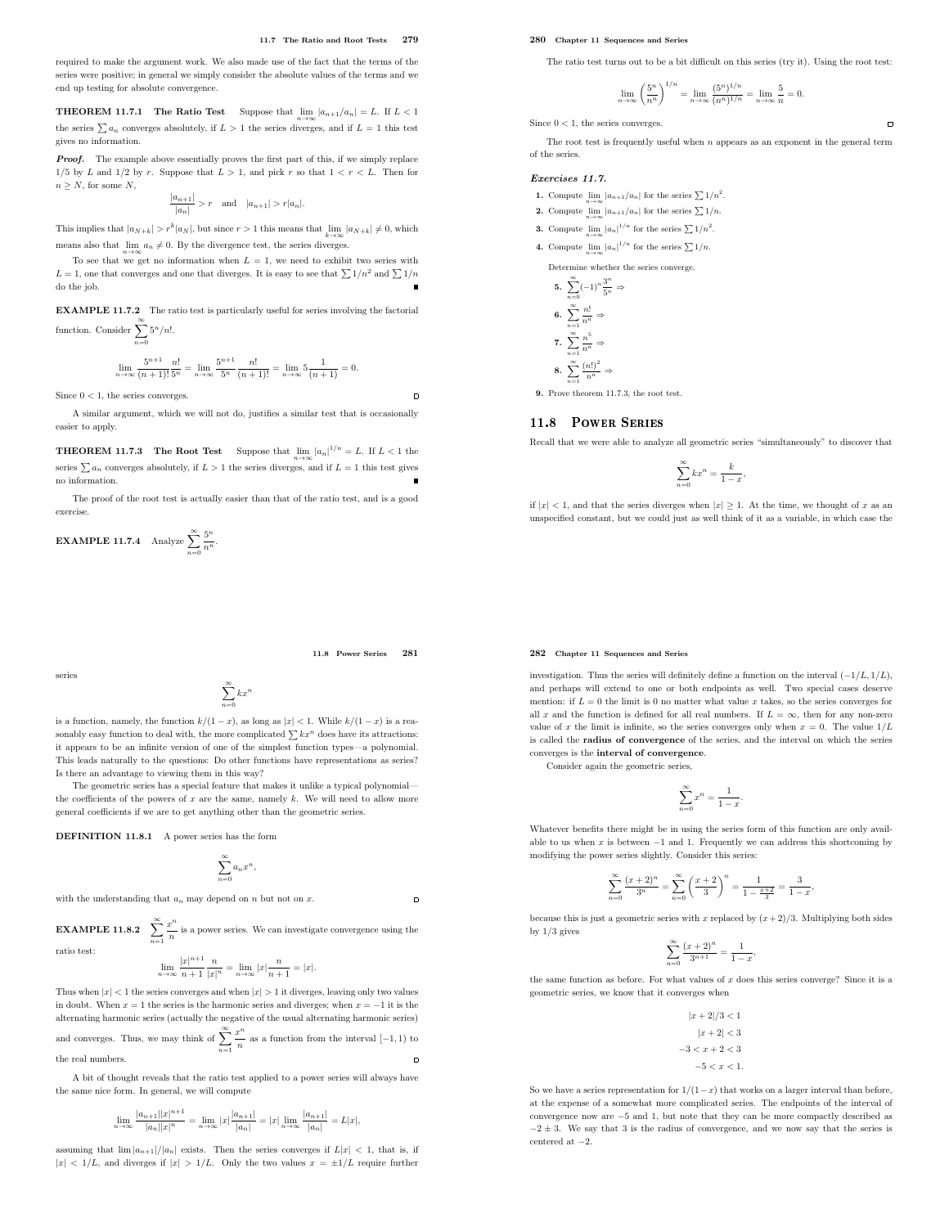required to make the argument work. We also made use of the fact that the terms of the series were positive; in general we simply consider the absolute values of the terms and we end up testing for absolute convergence.

**THEOREM 11.7.1** The Ratio Test Suppose that  $\lim_{n \to \infty} |a_{n+1}/a_n| = L$ . If  $L < 1$ the series  $\sum a_n$  converges absolutely, if  $L > 1$  the series diverges, and if  $L = 1$  this test gives no information.

**Proof.** The example above essentially proves the first part of this, if we simply replace  $1/5$  by L and  $1/2$  by r. Suppose that  $L > 1$ , and pick r so that  $1 < r < L$ . Then for  $n > N$ , for some N,

$$
\frac{|a_{n+1}|}{|a_n|}>r\quad\text{and}\quad |a_{n+1}|>r|a_n|.
$$

This implies that  $|a_{N+k}| > r^k |a_N|$ , but since  $r > 1$  this means that  $\lim_{k \to \infty} |a_{N+k}| \neq 0$ , which means also that  $\lim_{n\to\infty} a_n \neq 0$ . By the divergence test, the series diverges.

To see that we get no information when  $L = 1$ , we need to exhibit two series with  $L=1,$  one that converges and one that diverges. It is easy to see that  $\sum 1/n^2$  and  $\sum 1/n$ do the job.

EXAMPLE 11.7.2 The ratio test is particularly useful for series involving the factorial function. Consider  $\sum_{n=0}^{\infty} 5^n/n!$ .

$$
\lim_{n \to \infty} \frac{5^{n+1}}{(n+1)!} \frac{n!}{5^n} = \lim_{n \to \infty} \frac{5^{n+1}}{5^n} \frac{n!}{(n+1)!} = \lim_{n \to \infty} 5 \frac{1}{(n+1)} = 0.
$$

Since  $0 < 1$ , the series converges.

 $n=0$ 

A similar argument, which we will not do, justifies a similar test that is occasionally easier to apply.

**THEOREM 11.7.3** The Root Test Suppose that  $\lim_{n\to\infty} |a_n|^{1/n} = L$ . If  $L < 1$  the series  $\sum a_n$  converges absolutely, if  $L > 1$  the series diverges, and if  $L = 1$  this test gives no information.

The proof of the root test is actually easier than that of the ratio test, and is a good exercise.

**EXAMPLE 11.7.4** Analyze 
$$
\sum_{n=0}^{\infty} \frac{5^n}{n^n}.
$$

11.8 Power Series 281

 $\Box$ 

 $\overline{a}$ 

series

$$
\sum_{n=0}^{\infty} kx^n
$$

is a function, namely, the function  $k/(1-x)$ , as long as  $|x| < 1$ . While  $k/(1-x)$  is a reasonably easy function to deal with, the more complicated  $\sum kx^n$  does have its attractions: it appears to be an infinite version of one of the simplest function types—a polynomial. This leads naturally to the questions: Do other functions have representations as series? Is there an advantage to viewing them in this way?

The geometric series has a special feature that makes it unlike a typical polynomial the coefficients of the powers of  $x$  are the same, namely  $k$ . We will need to allow more general coefficients if we are to get anything other than the geometric series.

DEFINITION 11.8.1 A power series has the form

$$
\sum_{n=0}^{\infty} a_n x^n,
$$

with the understanding that  $a_n$  may depend on  $n$  but not on  $x$ .

EXAMPLE 11.8.2  $\sum_{n=1}^{\infty}$  $x^n$  $\frac{1}{n}$  is a power series. We can investigate convergence using the ratio test:

$$
\lim_{n \to \infty} \frac{|x|^{n+1}}{n+1} \frac{n}{|x|^n} = \lim_{n \to \infty} |x| \frac{n}{n+1} = |x|.
$$

Thus when  $|x| < 1$  the series converges and when  $|x| > 1$  it diverges, leaving only two values in doubt. When  $x = 1$  the series is the harmonic series and diverges; when  $x = -1$  it is the alternating harmonic series (actually the negative of the usual alternating harmonic series) and converges. Thus, we may think of  $\sum_{n=1}^{\infty}$  $x^n$  $\frac{n}{n}$  as a function from the interval  $[-1, 1)$  to the real numbers.  $\Box$ 

A bit of thought reveals that the ratio test applied to a power series will always have the same nice form. In general, we will compute

$$
\lim_{n\to\infty}\frac{|a_{n+1}||x|^{n+1}}{|a_n||x|^n}=\lim_{n\to\infty}|x|\frac{|a_{n+1}|}{|a_n|}=|x|\lim_{n\to\infty}\frac{|a_{n+1}|}{|a_n|}=L|x|,
$$

assuming that  $\lim |a_{n+1}|/|a_n|$  exists. Then the series converges if  $L|x| < 1$ , that is, if  $|x| < 1/L$ , and diverges if  $|x| > 1/L$ . Only the two values  $x = \pm 1/L$  require further

# 280 Chapter 11 Sequences and Series

The ratio test turns out to be a bit difficult on this series (try it). Using the root test:

 $\blacksquare$ 

$$
\lim_{n\to\infty}\left(\frac{5^n}{n^n}\right)^{1/n}=\lim_{n\to\infty}\frac{(5^n)^{1/n}}{(n^n)^{1/n}}=\lim_{n\to\infty}\frac{5}{n}=0.
$$

Since  $0 < 1$ , the series converges.

The root test is frequently useful when  $n$  appears as an exponent in the general term of the series.

# Exercises 11.7.

- **1.** Compute  $\lim_{n\to\infty} |a_{n+1}/a_n|$  for the series  $\sum 1/n^2$ .
- **2.** Compute  $\lim_{n\to\infty} |a_{n+1}/a_n|$  for the series  $\sum 1/n$ .
- **3.** Compute  $\lim_{n\to\infty} |a_n|^{1/n}$  for the series  $\sum 1/n^2$ .
- **4.** Compute  $\lim_{n\to\infty} |a_n|^{1/n}$  for the series  $\sum 1/n$ .

Determine whether the series converge.

5. 
$$
\sum_{n=0}^{\infty} (-1)^n \frac{3^n}{5^n} \Rightarrow
$$
  
6. 
$$
\sum_{n=1}^{\infty} \frac{n!}{n^n} \Rightarrow
$$
  
7. 
$$
\sum_{n=1}^{\infty} \frac{n^5}{n^n} \Rightarrow
$$
  
8. 
$$
\sum_{n=1}^{\infty} \frac{(n!)^2}{n^n} \Rightarrow
$$

9. Prove theorem 11.7.3, the root test.

# 11.8 POWER SERIES

Recall that we were able to analyze all geometric series "simultaneously" to discover that

$$
\sum_{n=0}^{\infty} kx^n = \frac{k}{1-x}
$$

,

if  $|x| < 1$ , and that the series diverges when  $|x| \ge 1$ . At the time, we thought of x as an unspecified constant, but we could just as well think of it as a variable, in which case the

# 282 Chapter 11 Sequences and Series

investigation. Thus the series will definitely define a function on the interval  $(-1/L, 1/L)$ , and perhaps will extend to one or both endpoints as well. Two special cases deserve mention: if  $L = 0$  the limit is 0 no matter what value x takes, so the series converges for all x and the function is defined for all real numbers. If  $L = \infty$ , then for any non-zero value of x the limit is infinite, so the series converges only when  $x = 0$ . The value  $1/L$ is called the radius of convergence of the series, and the interval on which the series converges is the interval of convergence.

Consider again the geometric series,

$$
\sum_{n=0}^{\infty} x^n = \frac{1}{1-x}.
$$

Whatever benefits there might be in using the series form of this function are only available to us when  $x$  is between  $-1$  and 1. Frequently we can address this shortcoming by modifying the power series slightly. Consider this series:

$$
\sum_{n=0}^{\infty} \frac{(x+2)^n}{3^n} = \sum_{n=0}^{\infty} \left(\frac{x+2}{3}\right)^n = \frac{1}{1 - \frac{x+2}{3}} = \frac{3}{1-x},
$$

because this is just a geometric series with x replaced by  $(x+2)/3$ . Multiplying both sides by  $1/3$  gives

$$
\sum_{n=0}^{\infty} \frac{(x+2)^n}{3^{n+1}} = \frac{1}{1-x},
$$

the same function as before. For what values of x does this series converge? Since it is a geometric series, we know that it converges when

> $|x + 2|/3 < 1$  $|x + 2| < 3$  $-3 < x + 2 < 3$  $-5 < r < 1$ .

So we have a series representation for  $1/(1-x)$  that works on a larger interval than before, at the expense of a somewhat more complicated series. The endpoints of the interval of convergence now are −5 and 1, but note that they can be more compactly described as  $-2 \pm 3$ . We say that 3 is the radius of convergence, and we now say that the series is centered at  $-2.$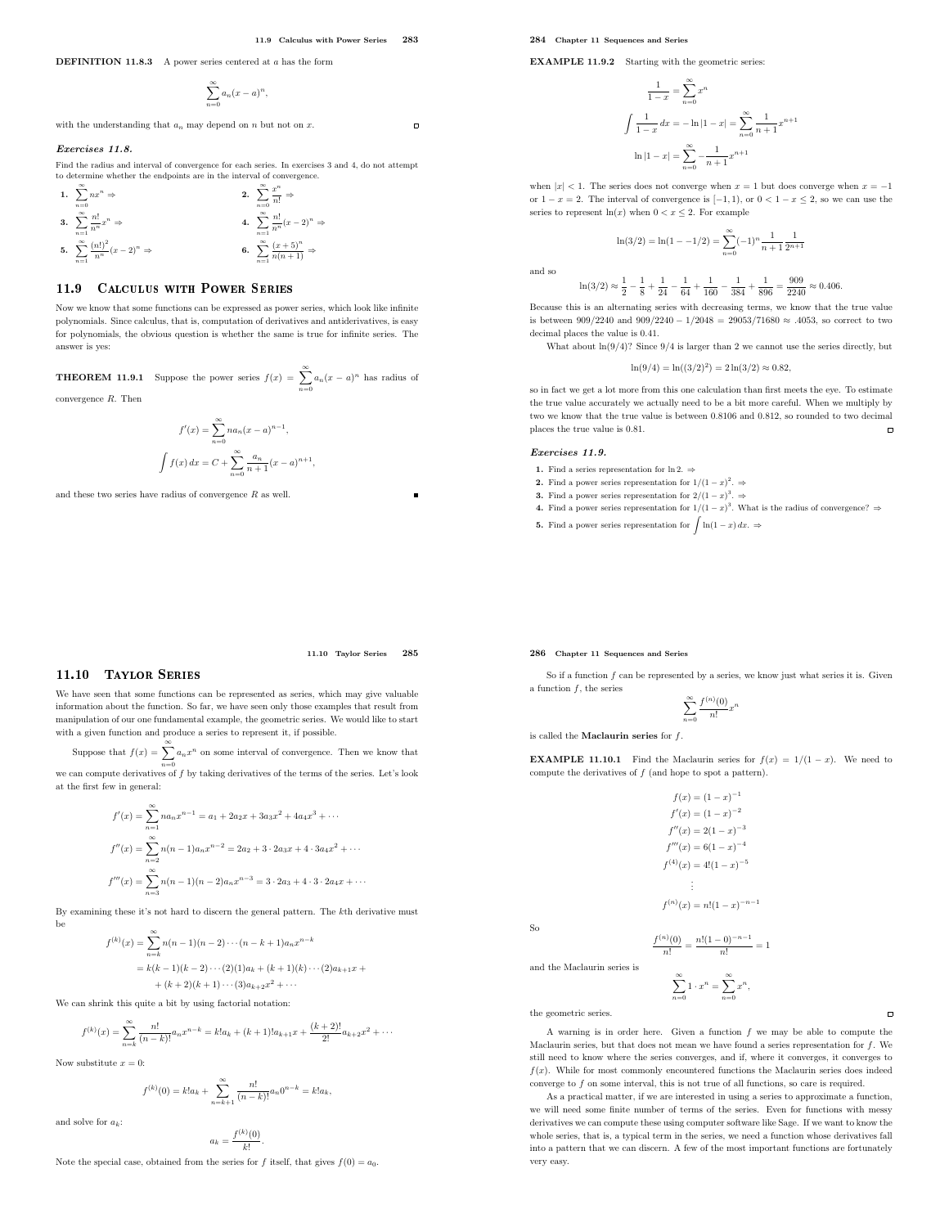$\overline{a}$ 

DEFINITION 11.8.3 A power series centered at a has the form

$$
\sum_{n=0}^{\infty} a_n (x-a)^n,
$$

with the understanding that  $a_n$  may depend on n but not on x.

### Exercises 11.8.

Find the radius and interval of convergence for each series. In exercises 3 and 4, do not attempt to determine whether the endpoints are in the interval of convergence.

1. 
$$
\sum_{n=0}^{\infty} nx^n \Rightarrow
$$
  
\n2. 
$$
\sum_{n=0}^{\infty} \frac{x^n}{n!} \Rightarrow
$$
  
\n3. 
$$
\sum_{n=1}^{\infty} \frac{n!}{n^n} x^n \Rightarrow
$$
  
\n4. 
$$
\sum_{n=1}^{\infty} \frac{n!}{n^n} (x-2)^n \Rightarrow
$$
  
\n5. 
$$
\sum_{n=1}^{\infty} \frac{(n!)^2}{n^n} (x-2)^n \Rightarrow
$$
  
\n6. 
$$
\sum_{n=1}^{\infty} \frac{(x+5)^n}{n(n+1)} \Rightarrow
$$

# 11.9 CALCULUS WITH POWER SERIES

Now we know that some functions can be expressed as power series, which look like infinite polynomials. Since calculus, that is, computation of derivatives and antiderivatives, is easy for polynomials, the obvious question is whether the same is true for infinite series. The answer is yes:

**THEOREM 11.9.1** Suppose the power series  $f(x) = \sum_{n=1}^{\infty} a_n(x-a)^n$  has radius of  $n=0$ convergence R. Then

$$
f'(x) = \sum_{n=0}^{\infty} na_n (x - a)^{n-1},
$$

$$
\int f(x) dx = C + \sum_{n=0}^{\infty} \frac{a_n}{n+1} (x - a)^{n+1}
$$

,

and these two series have radius of convergence  $R$  as well.

EXAMPLE 11.9.2 Starting with the geometric series:

$$
\frac{1}{1-x} = \sum_{n=0}^{\infty} x^n
$$

$$
\int \frac{1}{1-x} dx = -\ln|1-x| = \sum_{n=0}^{\infty} \frac{1}{n+1} x^{n+1}
$$

$$
\ln|1-x| = \sum_{n=0}^{\infty} -\frac{1}{n+1} x^{n+1}
$$

when  $|x| < 1$ . The series does not converge when  $x = 1$  but does converge when  $x = -1$ or  $1 - x = 2$ . The interval of convergence is  $[-1, 1)$ , or  $0 < 1 - x \le 2$ , so we can use the series to represent  $ln(x)$  when  $0 < x \leq 2$ . For example

$$
\ln(3/2) = \ln(1 - -1/2) = \sum_{n=0}^{\infty} (-1)^n \frac{1}{n+1} \frac{1}{2^{n+1}}
$$

and so

$$
\ln(3/2) \approx \frac{1}{2} - \frac{1}{8} + \frac{1}{24} - \frac{1}{64} + \frac{1}{160} - \frac{1}{384} + \frac{1}{896} = \frac{909}{2240} \approx 0.406.
$$

Because this is an alternating series with decreasing terms, we know that the true value is between 909/2240 and 909/2240 − 1/2048 = 29053/71680  $\approx$  .4053, so correct to two decimal places the value is 0.41.

What about  $ln(9/4)$ ? Since  $9/4$  is larger than 2 we cannot use the series directly, but

$$
\ln(9/4) = \ln((3/2)^2) = 2\ln(3/2) \approx 0.82,
$$

so in fact we get a lot more from this one calculation than first meets the eye. To estimate the true value accurately we actually need to be a bit more careful. When we multiply by two we know that the true value is between 0.8106 and 0.812, so rounded to two decimal places the true value is 0.81.  $\Box$ 

# Exercises 11.9.

1. Find a series representation for ln 2.  $\Rightarrow$ 

286 Chapter 11 Sequences and Series

is called the **Maclaurin series** for  $f$ .

a function f, the series

- **2.** Find a power series representation for  $1/(1-x)^2$ .  $\Rightarrow$
- **3.** Find a power series representation for  $2/(1-x)^3$ .  $\Rightarrow$
- 4. Find a power series representation for  $1/(1-x)^3$ . What is the radius of convergence? ⇒

So if a function  $f$  can be represented by a series, we know just what series it is. Given

**EXAMPLE 11.10.1** Find the Maclaurin series for  $f(x) = 1/(1-x)$ . We need to

 $f(x) = (1 - x)^{-1}$  $f'(x) = (1-x)^{-2}$  $f''(x) = 2(1-x)^{-3}$  $f'''(x) = 6(1-x)^{-4}$  $f^{(4)}(x) = 4!(1-x)^{-5}$ . . .  $f^{(n)}(x) = n!(1-x)^{-n-1}$ 

 $\sum_{n=0}^{\infty}$  $f^{(n)}(0)$  $rac{1}{n!}x^n$ 

**5.** Find a power series representation for  $\int \ln(1-x) dx$ .  $\Rightarrow$ 

compute the derivatives of  $f$  (and hope to spot a pattern).

# 11.10 Taylor Series 285

# 11.10 Taylor Series

We have seen that some functions can be represented as series, which may give valuable information about the function. So far, we have seen only those examples that result from manipulation of our one fundamental example, the geometric series. We would like to start with a given function and produce a series to represent it, if possible.

Suppose that  $f(x) = \sum_{n=0}^{\infty} a_n x^n$  on some interval of convergence. Then we know that we can compute derivatives of  $f$  by taking derivatives of the terms of the series. Let's look at the first few in general:

$$
f'(x) = \sum_{n=1}^{\infty} n a_n x^{n-1} = a_1 + 2a_2 x + 3a_3 x^2 + 4a_4 x^3 + \cdots
$$
  

$$
f''(x) = \sum_{n=2}^{\infty} n(n-1) a_n x^{n-2} = 2a_2 + 3 \cdot 2a_3 x + 4 \cdot 3a_4 x^2 + \cdots
$$
  

$$
f'''(x) = \sum_{n=3}^{\infty} n(n-1)(n-2) a_n x^{n-3} = 3 \cdot 2a_3 + 4 \cdot 3 \cdot 2a_4 x + \cdots
$$

By examining these it's not hard to discern the general pattern. The kth derivative must be

$$
f^{(k)}(x) = \sum_{n=k}^{\infty} n(n-1)(n-2)\cdots(n-k+1)a_n x^{n-k}
$$
  
=  $k(k-1)(k-2)\cdots(2)(1)a_k + (k+1)(k)\cdots(2)a_{k+1}x + (k+2)(k+1)\cdots(3)a_{k+2}x^2 + \cdots$ 

We can shrink this quite a bit by using factorial notation:

$$
f^{(k)}(x) = \sum_{n=k}^{\infty} \frac{n!}{(n-k)!} a_n x^{n-k} = k! a_k + (k+1)! a_{k+1} x + \frac{(k+2)!}{2!} a_{k+2} x^2 + \cdots
$$

Now substitute  $x = 0$ :

$$
f^{(k)}(0) = k!a_k + \sum_{n=k+1}^{\infty} \frac{n!}{(n-k)!} a_n 0^{n-k} = k!a_k,
$$

and solve for  $a_k$ :

$$
a_k=\frac{f^{(k)}(0)}{k!}.
$$

Note the special case, obtained from the series for f itself, that gives  $f(0) = a_0$ .

So

$$
\frac{f^{(n)}(0)}{n!} = \frac{n!(1-0)^{-n-1}}{n!} = 1
$$

$$
\sum_{n=0}^{\infty} 1 \cdot x^n = \sum_{n=0}^{\infty} x^n,
$$

the geometric series.

and the Maclaurin series is

A warning is in order here. Given a function f we may be able to compute the Maclaurin series, but that does not mean we have found a series representation for  $f$ . We still need to know where the series converges, and if, where it converges, it converges to  $f(x)$ . While for most commonly encountered functions the Maclaurin series does indeed converge to f on some interval, this is not true of all functions, so care is required.

As a practical matter, if we are interested in using a series to approximate a function, we will need some finite number of terms of the series. Even for functions with messy derivatives we can compute these using computer software like Sage. If we want to know the whole series, that is, a typical term in the series, we need a function whose derivatives fall into a pattern that we can discern. A few of the most important functions are fortunately very easy.

 $\overline{a}$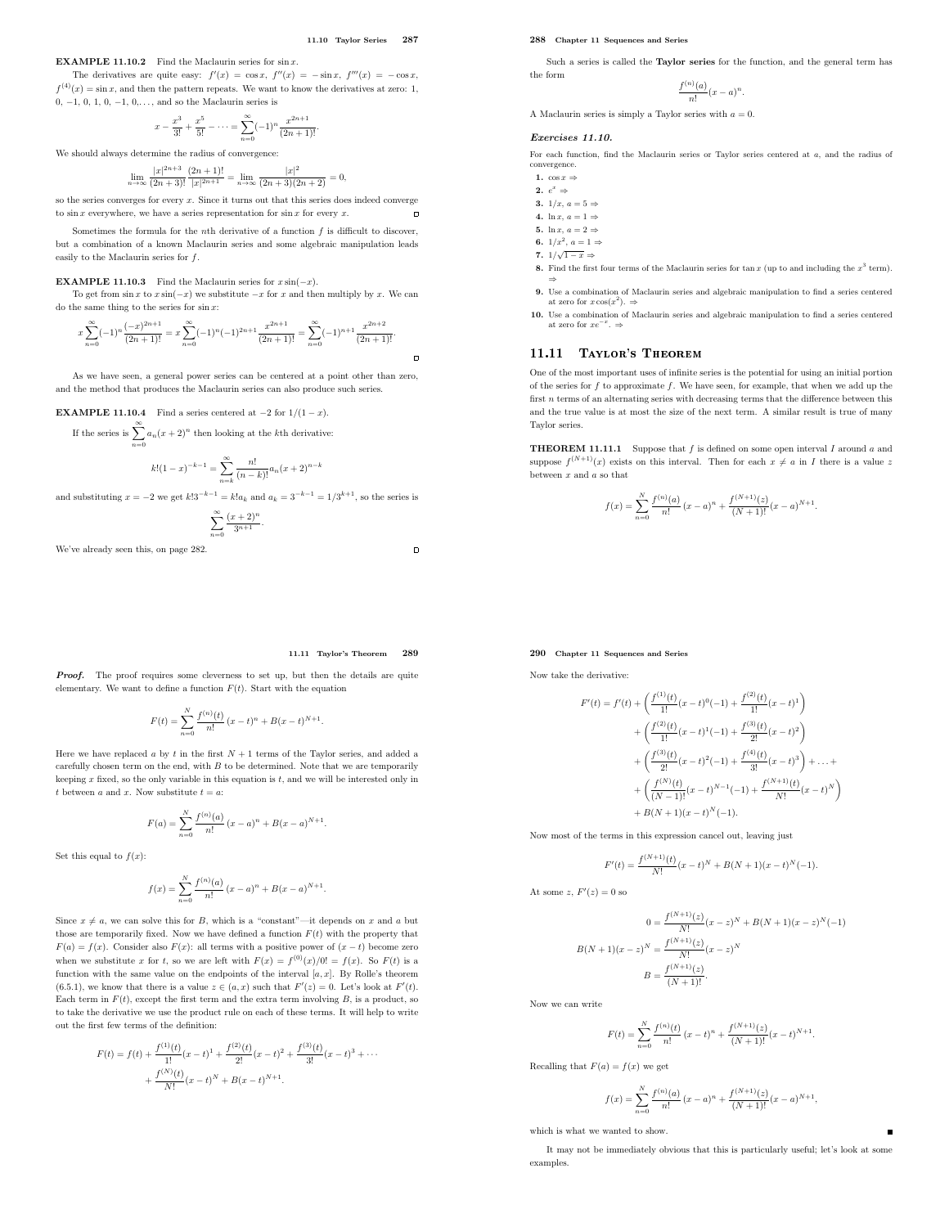$\Box$ 

 $\Box$ 

**EXAMPLE 11.10.2** Find the Maclaurin series for  $\sin x$ .

The derivatives are quite easy:  $f'(x) = \cos x$ ,  $f''(x) = -\sin x$ ,  $f'''(x) = -\cos x$ ,  $f^{(4)}(x) = \sin x$ , and then the pattern repeats. We want to know the derivatives at zero: 1, 0,  $-1$ , 0, 1, 0,  $-1$ , 0,..., and so the Maclaurin series is

$$
x - \frac{x^3}{3!} + \frac{x^5}{5!} - \dots = \sum_{n=0}^{\infty} (-1)^n \frac{x^{2n+1}}{(2n+1)!}.
$$

We should always determine the radius of convergence:

$$
\lim_{n \to \infty} \frac{|x|^{2n+3}}{(2n+3)!} \frac{(2n+1)!}{|x|^{2n+1}} = \lim_{n \to \infty} \frac{|x|^2}{(2n+3)(2n+2)} = 0,
$$

so the series converges for every  $x$ . Since it turns out that this series does indeed converge to  $\sin x$  everywhere, we have a series representation for  $\sin x$  for every x.

Sometimes the formula for the *n*th derivative of a function  $f$  is difficult to discover, but a combination of a known Maclaurin series and some algebraic manipulation leads easily to the Maclaurin series for  $f$ .

# **EXAMPLE 11.10.3** Find the Maclaurin series for  $x \sin(-x)$ .

To get from  $\sin x$  to  $x \sin(-x)$  we substitute  $-x$  for x and then multiply by x. We can do the same thing to the series for  $\sin x$ :

$$
x\sum_{n=0}^{\infty}(-1)^{n}\frac{(-x)^{2n+1}}{(2n+1)!}=x\sum_{n=0}^{\infty}(-1)^{n}(-1)^{2n+1}\frac{x^{2n+1}}{(2n+1)!}=\sum_{n=0}^{\infty}(-1)^{n+1}\frac{x^{2n+2}}{(2n+1)!}.
$$

As we have seen, a general power series can be centered at a point other than zero, and the method that produces the Maclaurin series can also produce such series.

# **EXAMPLE 11.10.4** Find a series centered at  $-2$  for  $1/(1-x)$ .

If the series is  $\sum_{n=1}^{\infty} a_n(x+2)^n$  then looking at the kth derivative:  $n=0$ 

$$
k!(1-x)^{-k-1} = \sum_{n=k}^{\infty} \frac{n!}{(n-k)!} a_n (x+2)^{n-k}
$$

and substituting  $x = -2$  we get  $k!3^{-k-1} = k!a_k$  and  $a_k = 3^{-k-1} = 1/3^{k+1}$ , so the series is

$$
\sum_{n=0}^{\infty} \frac{(x+2)^n}{3^{n+1}}.
$$

We've already seen this, on page 282.

### 11.11 Taylor's Theorem 289

Proof. The proof requires some cleverness to set up, but then the details are quite elementary. We want to define a function  $F(t)$ . Start with the equation

$$
F(t) = \sum_{n=0}^{N} \frac{f^{(n)}(t)}{n!} (x - t)^{n} + B(x - t)^{N+1}.
$$

Here we have replaced a by t in the first  $N + 1$  terms of the Taylor series, and added a carefully chosen term on the end, with  $B$  to be determined. Note that we are temporarily keeping  $x$  fixed, so the only variable in this equation is  $t$ , and we will be interested only in  $t$  between  $a$  and  $\boldsymbol{x}.$  Now substitute  $t=a:$ 

$$
F(a) = \sum_{n=0}^{N} \frac{f^{(n)}(a)}{n!} (x - a)^{n} + B(x - a)^{N+1}.
$$

Set this equal to  $f(x)$ :

$$
f(x) = \sum_{n=0}^{N} \frac{f^{(n)}(a)}{n!} (x - a)^{n} + B(x - a)^{N+1}.
$$

Since  $x \neq a$ , we can solve this for B, which is a "constant"—it depends on x and a but those are temporarily fixed. Now we have defined a function  $F(t)$  with the property that  $F(a) = f(x)$ . Consider also  $F(x)$ : all terms with a positive power of  $(x - t)$  become zero when we substitute x for t, so we are left with  $F(x) = f^{(0)}(x)/0! = f(x)$ . So  $F(t)$  is a function with the same value on the endpoints of the interval  $[a, x]$ . By Rolle's theorem (6.5.1), we know that there is a value  $z \in (a, x)$  such that  $F'(z) = 0$ . Let's look at  $F'(t)$ . Each term in  $F(t)$ , except the first term and the extra term involving B, is a product, so to take the derivative we use the product rule on each of these terms. It will help to write out the first few terms of the definition:

$$
F(t) = f(t) + \frac{f^{(1)}(t)}{1!}(x-t)^1 + \frac{f^{(2)}(t)}{2!}(x-t)^2 + \frac{f^{(3)}(t)}{3!}(x-t)^3 + \cdots
$$

$$
+ \frac{f^{(N)}(t)}{N!}(x-t)^N + B(x-t)^{N+1}.
$$

# 288 Chapter 11 Sequences and Series

Such a series is called the Taylor series for the function, and the general term has the form

$$
\frac{f^{(n)}(a)}{n!}(x-a)^n.
$$

A Maclaurin series is simply a Taylor series with  $a = 0$ .

# Exercises 11.10.

For each function, find the Maclaurin series or Taylor series centered at a, and the radius of convergence.

- 1.  $\cos x \Rightarrow$
- 2.  $e^x \Rightarrow$
- 3.  $1/x, a = 5 \Rightarrow$
- 4. ln x,  $a = 1 \Rightarrow$
- 5. ln x,  $a = 2 \Rightarrow$
- 6.  $1/x^2$ ,  $a=1 \Rightarrow$
- 7.  $1/\sqrt{1-x} \Rightarrow$
- 8. Find the first four terms of the Maclaurin series for tan  $x$  (up to and including the  $x^3$  term).
- ⇒ 9. Use a combination of Maclaurin series and algebraic manipulation to find a series centered at zero for  $x \cos(x^2)$ .  $\Rightarrow$
- 10. Use a combination of Maclaurin series and algebraic manipulation to find a series centered at zero for  $xe^{-x}$ .  $\Rightarrow$

# 11.11 Taylor's Theorem

One of the most important uses of infinite series is the potential for using an initial portion of the series for  $f$  to approximate  $f$ . We have seen, for example, that when we add up the first n terms of an alternating series with decreasing terms that the difference between this and the true value is at most the size of the next term. A similar result is true of many Taylor series.

**THEOREM 11.11.1** Suppose that  $f$  is defined on some open interval  $I$  around  $a$  and suppose  $f^{(N+1)}(x)$  exists on this interval. Then for each  $x \neq a$  in I there is a value z between  $x$  and  $a$  so that

$$
f(x) = \sum_{n=0}^{N} \frac{f^{(n)}(a)}{n!} (x - a)^n + \frac{f^{(N+1)}(z)}{(N+1)!} (x - a)^{N+1}.
$$

# 290 Chapter 11 Sequences and Series

Now take the derivative:

$$
F'(t) = f'(t) + \left(\frac{f^{(1)}(t)}{1!}(x-t)^0(-1) + \frac{f^{(2)}(t)}{1!}(x-t)^1\right) + \left(\frac{f^{(2)}(t)}{1!}(x-t)^1(-1) + \frac{f^{(3)}(t)}{2!}(x-t)^2\right) + \left(\frac{f^{(3)}(t)}{2!}(x-t)^2(-1) + \frac{f^{(4)}(t)}{3!}(x-t)^3\right) + \dots + + \left(\frac{f^{(N)}(t)}{(N-1)!}(x-t)^{N-1}(-1) + \frac{f^{(N+1)}(t)}{N!}(x-t)^N\right) + B(N+1)(x-t)^N(-1).
$$

Now most of the terms in this expression cancel out, leaving just

$$
F'(t) = \frac{f^{(N+1)}(t)}{N!}(x-t)^N + B(N+1)(x-t)^N(-1).
$$

At some  $z, F'(z) = 0$  so

 $B($ 

$$
0 = \frac{f^{(N+1)}(z)}{N!}(x-z)^N + B(N+1)(x-z)^N(-1)
$$
  

$$
N+1)(x-z)^N = \frac{f^{(N+1)}(z)}{N!}(x-z)^N
$$
  

$$
B = \frac{f^{(N+1)}(z)}{(N+1)!}.
$$

Now we can write

$$
F(t)=\sum_{n=0}^N\frac{f^{(n)}(t)}{n!}\,(x-t)^n+\frac{f^{(N+1)}(z)}{(N+1)!}(x-t)^{N+1}.
$$

Recalling that  $F(a) = f(x)$  we get

$$
f(x) = \sum_{n=0}^{N} \frac{f^{(n)}(a)}{n!} (x - a)^n + \frac{f^{(N+1)}(z)}{(N+1)!} (x - a)^{N+1},
$$

which is what we wanted to show.

It may not be immediately obvious that this is particularly useful; let's look at some examples.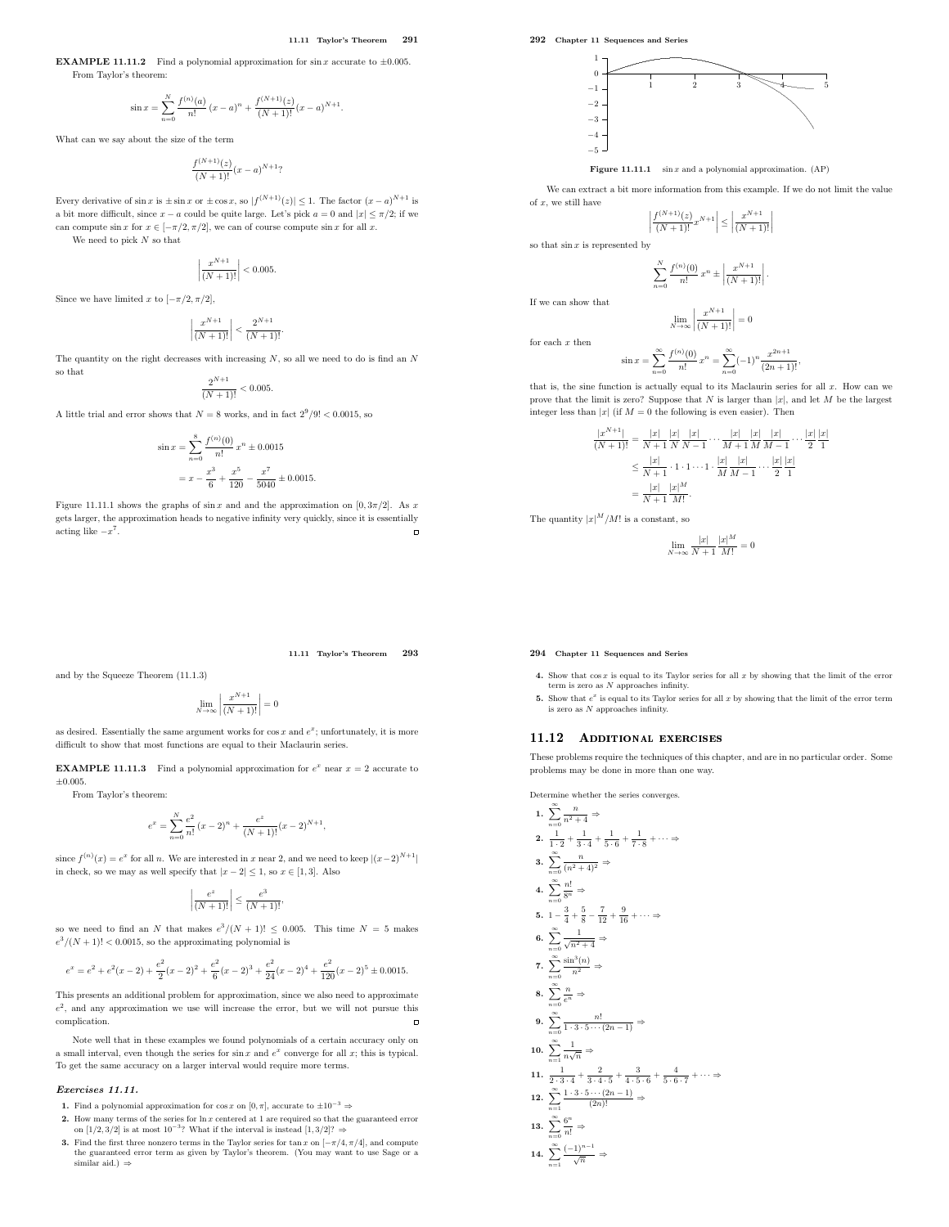**EXAMPLE 11.11.2** Find a polynomial approximation for  $\sin x$  accurate to  $\pm 0.005$ . From Taylor's theorem:

$$
\sin x = \sum_{n=0}^N \frac{f^{(n)}(a)}{n!} (x-a)^n + \frac{f^{(N+1)}(z)}{(N+1)!} (x-a)^{N+1}.
$$

What can we say about the size of the term

$$
\frac{f^{(N+1)}(z)}{(N+1)!}(x-a)^{N+1}?
$$

Every derivative of  $\sin x$  is  $\pm \sin x$  or  $\pm \cos x$ , so  $|f^{(N+1)}(z)| \leq 1$ . The factor  $(x-a)^{N+1}$  is a bit more difficult, since  $x - a$  could be quite large. Let's pick  $a = 0$  and  $|x| \leq \pi/2$ ; if we can compute sin x for  $x \in [-\pi/2, \pi/2]$ , we can of course compute sin x for all x.

We need to pick  $N$  so that

$$
\left| \frac{x^{N+1}}{(N+1)!} \right| < 0.005.
$$

Since we have limited x to  $[-\pi/2, \pi/2]$ ,

$$
\left|\frac{x^{N+1}}{(N+1)!}\right| < \frac{2^{N+1}}{(N+1)!}.
$$

The quantity on the right decreases with increasing  $N$ , so all we need to do is find an  $N$ so that

$$
\frac{2^{N+1}}{(N+1)!} < 0.005.
$$

A little trial and error shows that  $N = 8$  works, and in fact  $2^9/9! < 0.0015$ , so

$$
\sin x = \sum_{n=0}^{8} \frac{f^{(n)}(0)}{n!} x^{n} \pm 0.0015
$$

$$
= x - \frac{x^{3}}{6} + \frac{x^{5}}{120} - \frac{x^{7}}{5040} \pm 0.0015.
$$

Figure 11.11.1 shows the graphs of  $\sin x$  and and the approximation on [0, 3 $\pi/2$ ]. As x gets larger, the approximation heads to negative infinity very quickly, since it is essentially acting like  $-x^7$ .

292 Chapter 11 Sequences and Series



**Figure 11.11.1** sin x and a polynomial approximation.  $AP$ )

We can extract a bit more information from this example. If we do not limit the value of  $x$ , we still have

$$
\left| \frac{f^{(N+1)}(z)}{(N+1)!} x^{N+1} \right| \le \left| \frac{x^{N+1}}{(N+1)!} \right|
$$

so that  $\sin x$  is represented by

$$
\sum_{n=0}^{N} \frac{f^{(n)}(0)}{n!} x^{n} \pm \left| \frac{x^{N+1}}{(N+1)!} \right|.
$$

If we can show that

$$
\lim_{N \to \infty} \left| \frac{x^{N+1}}{(N+1)!} \right| = 0
$$

for each  $x$  then

$$
\sin x = \sum_{n=0}^{\infty} \frac{f^{(n)}(0)}{n!} x^n = \sum_{n=0}^{\infty} (-1)^n \frac{x^{2n+1}}{(2n+1)!},
$$

that is, the sine function is actually equal to its Maclaurin series for all  $x$ . How can we prove that the limit is zero? Suppose that  $N$  is larger than  $|x|$ , and let  $M$  be the largest integer less than  $|x|$  (if  $M = 0$  the following is even easier). Then

$$
\label{eq:20} \begin{split} \frac{|x^{N+1}|}{(N+1)!} &= \frac{|x|}{N+1}\frac{|x|}{N}\frac{|x|}{N-1}\cdots\frac{|x|}{M+1}\frac{|x|}{M}\frac{|x|}{M-1}\cdots\frac{|x|}{2}\frac{|x|}{1}\\ &\leq \frac{|x|}{N+1}\cdot 1\cdot 1\cdots 1\cdot\frac{|x|}{M}\frac{|x|}{M-1}\cdots\frac{|x|}{2}\frac{|x|}{1}\\ &= \frac{|x|}{N+1}\frac{|x|^M}{M!}. \end{split}
$$

The quantity  $|x|^M/M!$  is a constant, so

$$
\lim_{N \to \infty} \frac{|x|}{N+1} \frac{|x|^M}{M!} = 0
$$

### 11.11 Taylor's Theorem 293

and by the Squeeze Theorem (11.1.3)

$$
\lim_{N\to\infty}\left|\frac{x^{N+1}}{(N+1)!}\right|=0
$$

as desired. Essentially the same argument works for  $\cos x$  and  $e^x$ ; unfortunately, it is more difficult to show that most functions are equal to their Maclaurin series.

**EXAMPLE 11.11.3** Find a polynomial approximation for  $e^x$  near  $x = 2$  accurate to  $\pm 0.005$ .

From Taylor's theorem:

$$
e^x=\sum_{n=0}^N \frac{e^2}{n!}\,(x-2)^n+\frac{e^z}{(N+1)!}(x-2)^{N+1},
$$

since  $f^{(n)}(x) = e^x$  for all n. We are interested in x near 2, and we need to keep  $|(x-2)^{N+1}|$ in check, so we may as well specify that  $|x-2|\leq 1,$  so  $x\in [1,3].$  Also

$$
\left|\frac{e^z}{(N+1)!}\right| \le \frac{e^3}{(N+1)!},
$$

so we need to find an N that makes  $e^3/(N+1)! \le 0.005$ . This time  $N = 5$  makes  $e^3/(N+1)!$  < 0.0015, so the approximating polynomial is

$$
e^x=e^2+e^2(x-2)+\frac{e^2}{2}(x-2)^2+\frac{e^2}{6}(x-2)^3+\frac{e^2}{24}(x-2)^4+\frac{e^2}{120}(x-2)^5\pm 0.0015.
$$

This presents an additional problem for approximation, since we also need to approximate  $e<sup>2</sup>$ , and any approximation we use will increase the error, but we will not pursue this complication.  $\overline{a}$ 

Note well that in these examples we found polynomials of a certain accuracy only on a small interval, even though the series for  $\sin x$  and  $e^x$  converge for all x; this is typical. To get the same accuracy on a larger interval would require more terms.

# Exercises 11.11.

- 1. Find a polynomial approximation for  $\cos x$  on  $[0,\pi],$  accurate to  $\pm 10^{-3} \Rightarrow$
- 2. How many terms of the series for ln x centered at 1 are required so that the guaranteed error on [1/2, 3/2] is at most  $10^{-3}$ ? What if the interval is instead [1, 3/2]? ⇒
- 3. Find the first three nonzero terms in the Taylor series for tan x on  $[-\pi/4, \pi/4]$ , and compute the guaranteed error term as given by Taylor's theorem. (You may want to use Sage or a similar aid.)  $\Rightarrow$

# 294 Chapter 11 Sequences and Series

- 4. Show that  $\cos x$  is equal to its Taylor series for all x by showing that the limit of the error term is zero as  $\cal N$  approaches infinity.
- 5. Show that  $e^x$  is equal to its Taylor series for all x by showing that the limit of the error term is zero as N approaches infinity.

# 11.12 ADDITIONAL EXERCISES

These problems require the techniques of this chapter, and are in no particular order. Some problems may be done in more than one way.

Determine whether the series converges.

1. 
$$
\sum_{n=0}^{\infty} \frac{n}{n^2 + 4} \Rightarrow
$$
  
\n2. 
$$
\frac{1}{1 \cdot 2} + \frac{1}{3 \cdot 4} + \frac{1}{5 \cdot 6} + \frac{1}{7 \cdot 8} + \cdots \Rightarrow
$$
  
\n3. 
$$
\sum_{n=0}^{\infty} \frac{n}{(n^2 + 4)^2} \Rightarrow
$$
  
\n4. 
$$
\sum_{n=0}^{\infty} \frac{n!}{8^n} \Rightarrow
$$
  
\n5. 
$$
1 - \frac{3}{4} + \frac{5}{8} - \frac{7}{12} + \frac{9}{16} + \cdots \Rightarrow
$$
  
\n6. 
$$
\sum_{n=0}^{\infty} \frac{\sin^3(n)}{\sqrt{n^2 + 4}} \Rightarrow
$$
  
\n7. 
$$
\sum_{n=0}^{\infty} \frac{\sin^3(n)}{n^2} \Rightarrow
$$
  
\n8. 
$$
\sum_{n=0}^{\infty} \frac{n!}{e^n} \Rightarrow
$$
  
\n9. 
$$
\sum_{n=0}^{\infty} \frac{n!}{1 \cdot 3 \cdot 5 \cdots (2n-1)} \Rightarrow
$$
  
\n10. 
$$
\sum_{n=1}^{\infty} \frac{1}{n\sqrt{n}} \Rightarrow
$$
  
\n11. 
$$
\frac{2}{2 \cdot 3 \cdot 4} + \frac{2}{3 \cdot 4 \cdot 5} + \frac{3}{4 \cdot 5 \cdot 6} + \frac{4}{5 \cdot 6 \cdot 7} + \cdots \Rightarrow
$$
  
\n12. 
$$
\sum_{n=1}^{\infty} \frac{1 \cdot 3 \cdot 5 \cdots (2n-1)}{(2n)!} \Rightarrow
$$
  
\n13. 
$$
\sum_{n=0}^{\infty} \frac{6^n}{n!} \Rightarrow
$$
  
\n14. 
$$
\sum_{n=1}^{\infty} \frac{(-1)^{n-1}}{\sqrt{n}} \Rightarrow
$$